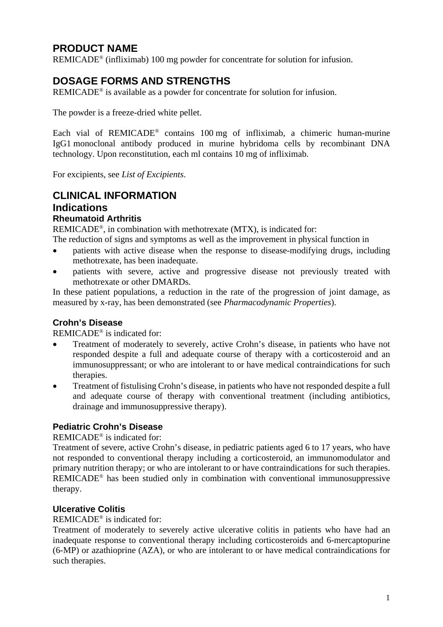# **PRODUCT NAME**

REMICADE® (infliximab) 100 mg powder for concentrate for solution for infusion.

# **DOSAGE FORMS AND STRENGTHS**

REMICADE® is available as a powder for concentrate for solution for infusion.

The powder is a freeze-dried white pellet.

Each vial of REMICADE<sup>®</sup> contains 100 mg of infliximab, a chimeric human-murine IgG1 monoclonal antibody produced in murine hybridoma cells by recombinant DNA technology. Upon reconstitution, each ml contains 10 mg of infliximab.

For excipients, see *List of Excipients*.

# **CLINICAL INFORMATION Indications Rheumatoid Arthritis**

REMICADE®, in combination with methotrexate (MTX), is indicated for:

The reduction of signs and symptoms as well as the improvement in physical function in

- patients with active disease when the response to disease-modifying drugs, including methotrexate, has been inadequate.
- patients with severe, active and progressive disease not previously treated with methotrexate or other DMARDs.

In these patient populations, a reduction in the rate of the progression of joint damage, as measured by x-ray, has been demonstrated (see *Pharmacodynamic Properties*).

# **Crohn's Disease**

REMICADE® is indicated for:

- Treatment of moderately to severely, active Crohn's disease, in patients who have not responded despite a full and adequate course of therapy with a corticosteroid and an immunosuppressant; or who are intolerant to or have medical contraindications for such therapies.
- Treatment of fistulising Crohn's disease, in patients who have not responded despite a full and adequate course of therapy with conventional treatment (including antibiotics, drainage and immunosuppressive therapy).

# **Pediatric Crohn's Disease**

REMICADE® is indicated for:

Treatment of severe, active Crohn's disease, in pediatric patients aged 6 to 17 years, who have not responded to conventional therapy including a corticosteroid, an immunomodulator and primary nutrition therapy; or who are intolerant to or have contraindications for such therapies. REMICADE® has been studied only in combination with conventional immunosuppressive therapy.

# **Ulcerative Colitis**

REMICADE® is indicated for:

Treatment of moderately to severely active ulcerative colitis in patients who have had an inadequate response to conventional therapy including corticosteroids and 6-mercaptopurine (6-MP) or azathioprine (AZA), or who are intolerant to or have medical contraindications for such therapies.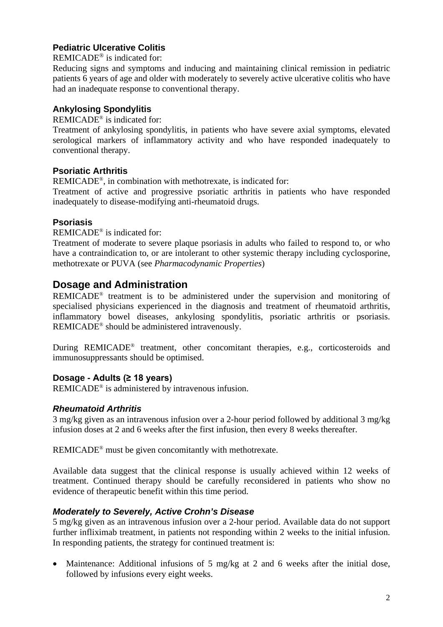# **Pediatric Ulcerative Colitis**

REMICADE® is indicated for:

Reducing signs and symptoms and inducing and maintaining clinical remission in pediatric patients 6 years of age and older with moderately to severely active ulcerative colitis who have had an inadequate response to conventional therapy.

# **Ankylosing Spondylitis**

REMICADE® is indicated for:

Treatment of ankylosing spondylitis, in patients who have severe axial symptoms, elevated serological markers of inflammatory activity and who have responded inadequately to conventional therapy.

# **Psoriatic Arthritis**

REMICADE®, in combination with methotrexate, is indicated for:

Treatment of active and progressive psoriatic arthritis in patients who have responded inadequately to disease-modifying anti-rheumatoid drugs.

# **Psoriasis**

REMICADE® is indicated for:

Treatment of moderate to severe plaque psoriasis in adults who failed to respond to, or who have a contraindication to, or are intolerant to other systemic therapy including cyclosporine, methotrexate or PUVA (see *Pharmacodynamic Properties*)

# **Dosage and Administration**

REMICADE® treatment is to be administered under the supervision and monitoring of specialised physicians experienced in the diagnosis and treatment of rheumatoid arthritis, inflammatory bowel diseases, ankylosing spondylitis, psoriatic arthritis or psoriasis. REMICADE® should be administered intravenously.

During REMICADE<sup>®</sup> treatment, other concomitant therapies, e.g., corticosteroids and immunosuppressants should be optimised.

# **Dosage - Adults (≥ 18 years)**

REMICADE® is administered by intravenous infusion.

# *Rheumatoid Arthritis*

3 mg/kg given as an intravenous infusion over a 2-hour period followed by additional 3 mg/kg infusion doses at 2 and 6 weeks after the first infusion, then every 8 weeks thereafter.

REMICADE® must be given concomitantly with methotrexate.

Available data suggest that the clinical response is usually achieved within 12 weeks of treatment. Continued therapy should be carefully reconsidered in patients who show no evidence of therapeutic benefit within this time period.

# *Moderately to Severely, Active Crohn's Disease*

5 mg/kg given as an intravenous infusion over a 2-hour period. Available data do not support further infliximab treatment, in patients not responding within 2 weeks to the initial infusion. In responding patients, the strategy for continued treatment is:

• Maintenance: Additional infusions of 5 mg/kg at 2 and 6 weeks after the initial dose, followed by infusions every eight weeks.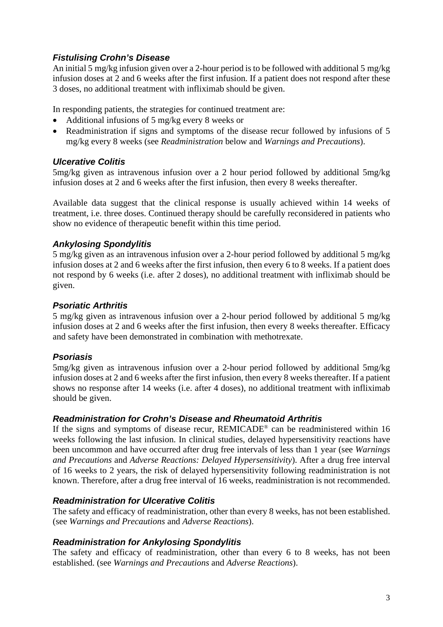# *Fistulising Crohn's Disease*

An initial 5 mg/kg infusion given over a 2-hour period is to be followed with additional 5 mg/kg infusion doses at 2 and 6 weeks after the first infusion. If a patient does not respond after these 3 doses, no additional treatment with infliximab should be given.

In responding patients, the strategies for continued treatment are:

- Additional infusions of 5 mg/kg every 8 weeks or
- Readministration if signs and symptoms of the disease recur followed by infusions of 5 mg/kg every 8 weeks (see *Readministration* below and *Warnings and Precautions*).

## *Ulcerative Colitis*

5mg/kg given as intravenous infusion over a 2 hour period followed by additional 5mg/kg infusion doses at 2 and 6 weeks after the first infusion, then every 8 weeks thereafter.

Available data suggest that the clinical response is usually achieved within 14 weeks of treatment, i.e. three doses. Continued therapy should be carefully reconsidered in patients who show no evidence of therapeutic benefit within this time period.

## *Ankylosing Spondylitis*

5 mg/kg given as an intravenous infusion over a 2-hour period followed by additional 5 mg/kg infusion doses at 2 and 6 weeks after the first infusion, then every 6 to 8 weeks. If a patient does not respond by 6 weeks (i.e. after 2 doses), no additional treatment with infliximab should be given.

## *Psoriatic Arthritis*

5 mg/kg given as intravenous infusion over a 2-hour period followed by additional 5 mg/kg infusion doses at 2 and 6 weeks after the first infusion, then every 8 weeks thereafter. Efficacy and safety have been demonstrated in combination with methotrexate.

### *Psoriasis*

5mg/kg given as intravenous infusion over a 2-hour period followed by additional 5mg/kg infusion doses at 2 and 6 weeks after the first infusion, then every 8 weeks thereafter. If a patient shows no response after 14 weeks (i.e. after 4 doses), no additional treatment with infliximab should be given.

### *Readministration for Crohn's Disease and Rheumatoid Arthritis*

If the signs and symptoms of disease recur, REMICADE® can be readministered within 16 weeks following the last infusion. In clinical studies, delayed hypersensitivity reactions have been uncommon and have occurred after drug free intervals of less than 1 year (see *Warnings and Precautions* and *Adverse Reactions: Delayed Hypersensitivity*). After a drug free interval of 16 weeks to 2 years, the risk of delayed hypersensitivity following readministration is not known. Therefore, after a drug free interval of 16 weeks, readministration is not recommended.

### *Readministration for Ulcerative Colitis*

The safety and efficacy of readministration, other than every 8 weeks, has not been established. (see *Warnings and Precautions* and *Adverse Reactions*).

### *Readministration for Ankylosing Spondylitis*

The safety and efficacy of readministration, other than every 6 to 8 weeks, has not been established. (see *Warnings and Precautions* and *Adverse Reactions*).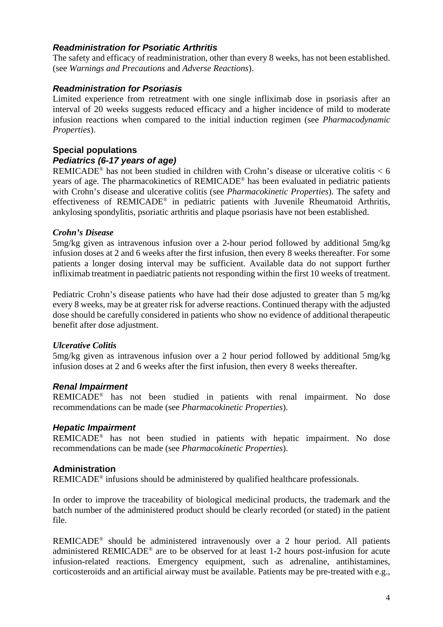### *Readministration for Psoriatic Arthritis*

The safety and efficacy of readministration, other than every 8 weeks, has not been established. (see *Warnings and Precautions* and *Adverse Reactions*).

## *Readministration for Psoriasis*

Limited experience from retreatment with one single infliximab dose in psoriasis after an interval of 20 weeks suggests reduced efficacy and a higher incidence of mild to moderate infusion reactions when compared to the initial induction regimen (see *Pharmacodynamic Properties*).

# **Special populations** *Pediatrics (6-17 years of age)*

REMICADE<sup>®</sup> has not been studied in children with Crohn's disease or ulcerative colitis  $< 6$ years of age. The pharmacokinetics of REMICADE® has been evaluated in pediatric patients with Crohn's disease and ulcerative colitis (see *Pharmacokinetic Properties*). The safety and effectiveness of REMICADE® in pediatric patients with Juvenile Rheumatoid Arthritis, ankylosing spondylitis, psoriatic arthritis and plaque psoriasis have not been established.

### *Crohn's Disease*

5mg/kg given as intravenous infusion over a 2-hour period followed by additional 5mg/kg infusion doses at 2 and 6 weeks after the first infusion, then every 8 weeks thereafter. For some patients a longer dosing interval may be sufficient. Available data do not support further infliximab treatment in paediatric patients not responding within the first 10 weeks of treatment.

Pediatric Crohn's disease patients who have had their dose adjusted to greater than 5 mg/kg every 8 weeks, may be at greater risk for adverse reactions. Continued therapy with the adjusted dose should be carefully considered in patients who show no evidence of additional therapeutic benefit after dose adjustment.

# *Ulcerative Colitis*

5mg/kg given as intravenous infusion over a 2 hour period followed by additional 5mg/kg infusion doses at 2 and 6 weeks after the first infusion, then every 8 weeks thereafter.

# *Renal Impairment*

REMICADE® has not been studied in patients with renal impairment. No dose recommendations can be made (see *Pharmacokinetic Properties*).

# *Hepatic Impairment*

REMICADE® has not been studied in patients with hepatic impairment. No dose recommendations can be made (see *Pharmacokinetic Properties*).

# **Administration**

REMICADE® infusions should be administered by qualified healthcare professionals.

In order to improve the traceability of biological medicinal products, the trademark and the batch number of the administered product should be clearly recorded (or stated) in the patient file.

REMICADE® should be administered intravenously over a 2 hour period. All patients administered REMICADE® are to be observed for at least 1-2 hours post-infusion for acute infusion-related reactions. Emergency equipment, such as adrenaline, antihistamines, corticosteroids and an artificial airway must be available. Patients may be pre-treated with e.g.,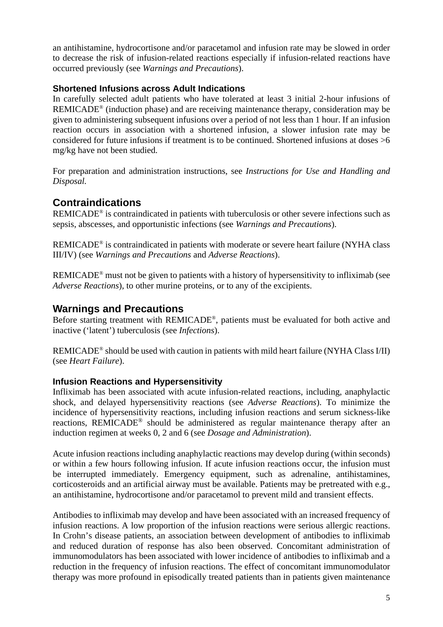an antihistamine, hydrocortisone and/or paracetamol and infusion rate may be slowed in order to decrease the risk of infusion-related reactions especially if infusion-related reactions have occurred previously (see *Warnings and Precautions*).

## **Shortened Infusions across Adult Indications**

In carefully selected adult patients who have tolerated at least 3 initial 2-hour infusions of REMICADE® (induction phase) and are receiving maintenance therapy, consideration may be given to administering subsequent infusions over a period of not less than 1 hour. If an infusion reaction occurs in association with a shortened infusion, a slower infusion rate may be considered for future infusions if treatment is to be continued. Shortened infusions at doses  $>6$ mg/kg have not been studied.

For preparation and administration instructions, see *Instructions for Use and Handling and Disposal.*

# **Contraindications**

REMICADE® is contraindicated in patients with tuberculosis or other severe infections such as sepsis, abscesses, and opportunistic infections (see *Warnings and Precautions*).

REMICADE® is contraindicated in patients with moderate or severe heart failure (NYHA class III/IV) (see *Warnings and Precautions* and *Adverse Reactions*).

REMICADE® must not be given to patients with a history of hypersensitivity to infliximab (see *Adverse Reactions*), to other murine proteins, or to any of the excipients.

# **Warnings and Precautions**

Before starting treatment with REMICADE®, patients must be evaluated for both active and inactive ('latent') tuberculosis (see *Infections*).

REMICADE® should be used with caution in patients with mild heart failure (NYHA Class I/II) (see *Heart Failure*).

# **Infusion Reactions and Hypersensitivity**

Infliximab has been associated with acute infusion-related reactions, including, anaphylactic shock, and delayed hypersensitivity reactions (see *Adverse Reactions*). To minimize the incidence of hypersensitivity reactions, including infusion reactions and serum sickness-like reactions, REMICADE® should be administered as regular maintenance therapy after an induction regimen at weeks 0, 2 and 6 (see *Dosage and Administration*).

Acute infusion reactions including anaphylactic reactions may develop during (within seconds) or within a few hours following infusion. If acute infusion reactions occur, the infusion must be interrupted immediately. Emergency equipment, such as adrenaline, antihistamines, corticosteroids and an artificial airway must be available. Patients may be pretreated with e.g., an antihistamine, hydrocortisone and/or paracetamol to prevent mild and transient effects.

Antibodies to infliximab may develop and have been associated with an increased frequency of infusion reactions. A low proportion of the infusion reactions were serious allergic reactions. In Crohn's disease patients, an association between development of antibodies to infliximab and reduced duration of response has also been observed. Concomitant administration of immunomodulators has been associated with lower incidence of antibodies to infliximab and a reduction in the frequency of infusion reactions. The effect of concomitant immunomodulator therapy was more profound in episodically treated patients than in patients given maintenance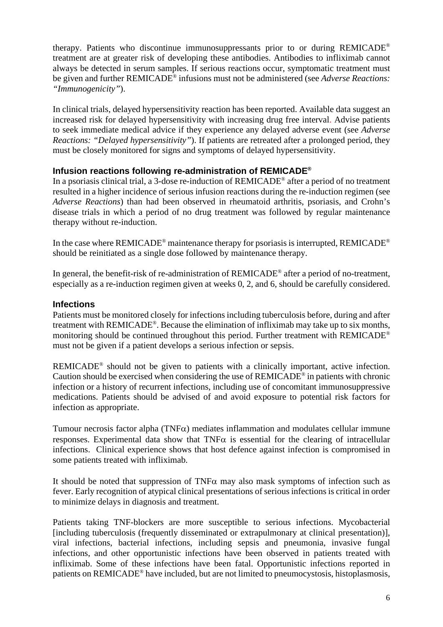therapy. Patients who discontinue immunosuppressants prior to or during REMICADE® treatment are at greater risk of developing these antibodies. Antibodies to infliximab cannot always be detected in serum samples. If serious reactions occur, symptomatic treatment must be given and further REMICADE® infusions must not be administered (see *Adverse Reactions: "Immunogenicity"*).

In clinical trials, delayed hypersensitivity reaction has been reported. Available data suggest an increased risk for delayed hypersensitivity with increasing drug free interval. Advise patients to seek immediate medical advice if they experience any delayed adverse event (see *Adverse Reactions: "Delayed hypersensitivity"*). If patients are retreated after a prolonged period, they must be closely monitored for signs and symptoms of delayed hypersensitivity.

### **Infusion reactions following re-administration of REMICADE®**

In a psoriasis clinical trial, a 3-dose re-induction of REMICADE® after a period of no treatment resulted in a higher incidence of serious infusion reactions during the re-induction regimen (see *Adverse Reactions*) than had been observed in rheumatoid arthritis, psoriasis, and Crohn's disease trials in which a period of no drug treatment was followed by regular maintenance therapy without re-induction.

In the case where REMICADE<sup>®</sup> maintenance therapy for psoriasis is interrupted, REMICADE<sup>®</sup> should be reinitiated as a single dose followed by maintenance therapy.

In general, the benefit-risk of re-administration of REMICADE® after a period of no-treatment, especially as a re-induction regimen given at weeks 0, 2, and 6, should be carefully considered.

#### **Infections**

Patients must be monitored closely for infections including tuberculosis before, during and after treatment with REMICADE®. Because the elimination of infliximab may take up to six months, monitoring should be continued throughout this period. Further treatment with REMICADE® must not be given if a patient develops a serious infection or sepsis.

REMICADE® should not be given to patients with a clinically important, active infection. Caution should be exercised when considering the use of REMICADE® in patients with chronic infection or a history of recurrent infections, including use of concomitant immunosuppressive medications. Patients should be advised of and avoid exposure to potential risk factors for infection as appropriate.

Tumour necrosis factor alpha (TNF $\alpha$ ) mediates inflammation and modulates cellular immune responses. Experimental data show that TNF $\alpha$  is essential for the clearing of intracellular infections. Clinical experience shows that host defence against infection is compromised in some patients treated with infliximab.

It should be noted that suppression of TNF $\alpha$  may also mask symptoms of infection such as fever. Early recognition of atypical clinical presentations of serious infections is critical in order to minimize delays in diagnosis and treatment.

Patients taking TNF-blockers are more susceptible to serious infections. Mycobacterial [including tuberculosis (frequently disseminated or extrapulmonary at clinical presentation)], viral infections, bacterial infections, including sepsis and pneumonia, invasive fungal infections, and other opportunistic infections have been observed in patients treated with infliximab. Some of these infections have been fatal. Opportunistic infections reported in patients on REMICADE® have included, but are not limited to pneumocystosis, histoplasmosis,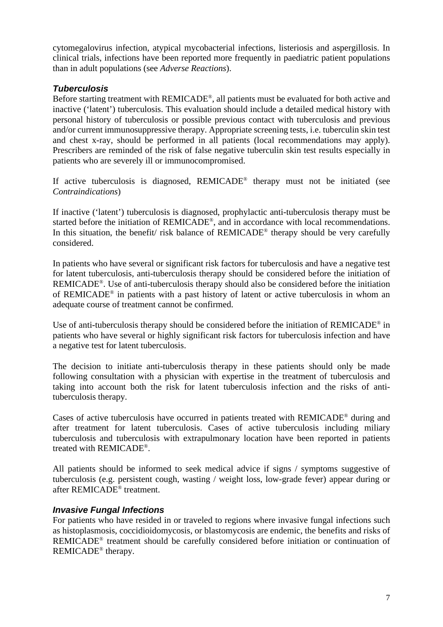cytomegalovirus infection, atypical mycobacterial infections, listeriosis and aspergillosis. In clinical trials, infections have been reported more frequently in paediatric patient populations than in adult populations (see *Adverse Reactions*).

## *Tuberculosis*

Before starting treatment with REMICADE®, all patients must be evaluated for both active and inactive ('latent') tuberculosis. This evaluation should include a detailed medical history with personal history of tuberculosis or possible previous contact with tuberculosis and previous and/or current immunosuppressive therapy. Appropriate screening tests, i.e. tuberculin skin test and chest x-ray, should be performed in all patients (local recommendations may apply). Prescribers are reminded of the risk of false negative tuberculin skin test results especially in patients who are severely ill or immunocompromised.

If active tuberculosis is diagnosed, REMICADE® therapy must not be initiated (see *Contraindications*)

If inactive ('latent') tuberculosis is diagnosed, prophylactic anti-tuberculosis therapy must be started before the initiation of REMICADE®, and in accordance with local recommendations. In this situation, the benefit/ risk balance of REMICADE<sup>®</sup> therapy should be very carefully considered.

In patients who have several or significant risk factors for tuberculosis and have a negative test for latent tuberculosis, anti-tuberculosis therapy should be considered before the initiation of REMICADE®. Use of anti-tuberculosis therapy should also be considered before the initiation of REMICADE® in patients with a past history of latent or active tuberculosis in whom an adequate course of treatment cannot be confirmed.

Use of anti-tuberculosis therapy should be considered before the initiation of REMICADE® in patients who have several or highly significant risk factors for tuberculosis infection and have a negative test for latent tuberculosis.

The decision to initiate anti-tuberculosis therapy in these patients should only be made following consultation with a physician with expertise in the treatment of tuberculosis and taking into account both the risk for latent tuberculosis infection and the risks of antituberculosis therapy.

Cases of active tuberculosis have occurred in patients treated with REMICADE® during and after treatment for latent tuberculosis. Cases of active tuberculosis including miliary tuberculosis and tuberculosis with extrapulmonary location have been reported in patients treated with REMICADE®.

All patients should be informed to seek medical advice if signs / symptoms suggestive of tuberculosis (e.g. persistent cough, wasting / weight loss, low-grade fever) appear during or after REMICADE® treatment.

### *Invasive Fungal Infections*

For patients who have resided in or traveled to regions where invasive fungal infections such as histoplasmosis, coccidioidomycosis, or blastomycosis are endemic, the benefits and risks of REMICADE® treatment should be carefully considered before initiation or continuation of REMICADE® therapy.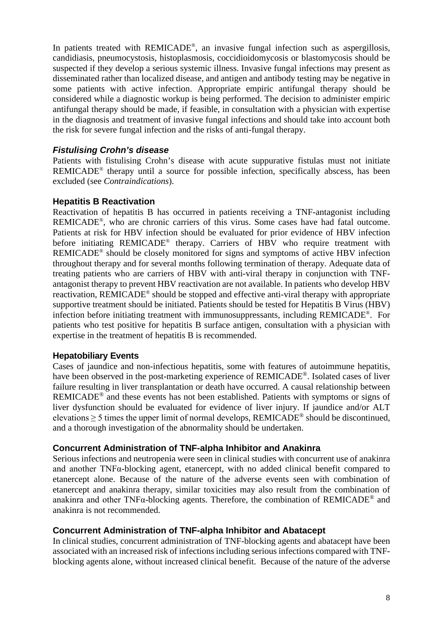In patients treated with REMICADE®, an invasive fungal infection such as aspergillosis, candidiasis, pneumocystosis, histoplasmosis, coccidioidomycosis or blastomycosis should be suspected if they develop a serious systemic illness. Invasive fungal infections may present as disseminated rather than localized disease, and antigen and antibody testing may be negative in some patients with active infection. Appropriate empiric antifungal therapy should be considered while a diagnostic workup is being performed. The decision to administer empiric antifungal therapy should be made, if feasible, in consultation with a physician with expertise in the diagnosis and treatment of invasive fungal infections and should take into account both the risk for severe fungal infection and the risks of anti-fungal therapy.

## *Fistulising Crohn's disease*

Patients with fistulising Crohn's disease with acute suppurative fistulas must not initiate REMICADE® therapy until a source for possible infection, specifically abscess, has been excluded (see *Contraindications*).

### **Hepatitis B Reactivation**

Reactivation of hepatitis B has occurred in patients receiving a TNF-antagonist including REMICADE®, who are chronic carriers of this virus. Some cases have had fatal outcome. Patients at risk for HBV infection should be evaluated for prior evidence of HBV infection before initiating REMICADE® therapy. Carriers of HBV who require treatment with REMICADE® should be closely monitored for signs and symptoms of active HBV infection throughout therapy and for several months following termination of therapy. Adequate data of treating patients who are carriers of HBV with anti-viral therapy in conjunction with TNFantagonist therapy to prevent HBV reactivation are not available. In patients who develop HBV reactivation, REMICADE® should be stopped and effective anti-viral therapy with appropriate supportive treatment should be initiated. Patients should be tested for Hepatitis B Virus (HBV) infection before initiating treatment with immunosuppressants, including REMICADE®. For patients who test positive for hepatitis B surface antigen, consultation with a physician with expertise in the treatment of hepatitis B is recommended.

### **Hepatobiliary Events**

Cases of jaundice and non-infectious hepatitis, some with features of autoimmune hepatitis, have been observed in the post-marketing experience of REMICADE®. Isolated cases of liver failure resulting in liver transplantation or death have occurred. A causal relationship between REMICADE® and these events has not been established. Patients with symptoms or signs of liver dysfunction should be evaluated for evidence of liver injury. If jaundice and/or ALT elevations  $\geq$  5 times the upper limit of normal develops, REMICADE<sup>®</sup> should be discontinued, and a thorough investigation of the abnormality should be undertaken.

### **Concurrent Administration of TNF-alpha Inhibitor and Anakinra**

Serious infections and neutropenia were seen in clinical studies with concurrent use of anakinra and another TNFα-blocking agent, etanercept, with no added clinical benefit compared to etanercept alone. Because of the nature of the adverse events seen with combination of etanercept and anakinra therapy, similar toxicities may also result from the combination of anakinra and other TNF $\alpha$ -blocking agents. Therefore, the combination of REMICADE<sup>®</sup> and anakinra is not recommended.

### **Concurrent Administration of TNF-alpha Inhibitor and Abatacept**

In clinical studies, concurrent administration of TNF-blocking agents and abatacept have been associated with an increased risk of infections including serious infections compared with TNFblocking agents alone, without increased clinical benefit. Because of the nature of the adverse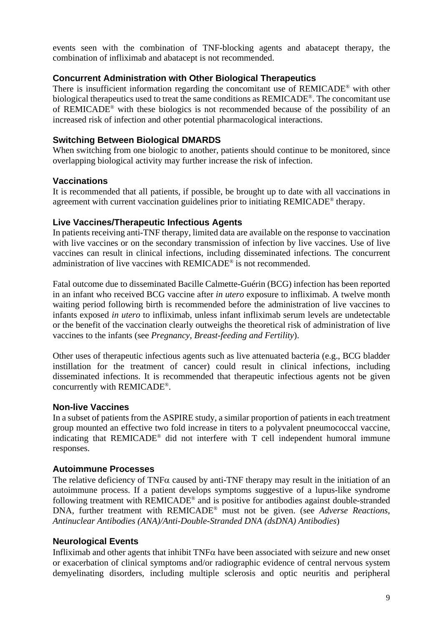events seen with the combination of TNF-blocking agents and abatacept therapy, the combination of infliximab and abatacept is not recommended.

### **Concurrent Administration with Other Biological Therapeutics**

There is insufficient information regarding the concomitant use of REMICADE® with other biological therapeutics used to treat the same conditions as REMICADE®. The concomitant use of REMICADE® with these biologics is not recommended because of the possibility of an increased risk of infection and other potential pharmacological interactions.

#### **Switching Between Biological DMARDS**

When switching from one biologic to another, patients should continue to be monitored, since overlapping biological activity may further increase the risk of infection.

#### **Vaccinations**

It is recommended that all patients, if possible, be brought up to date with all vaccinations in agreement with current vaccination guidelines prior to initiating REMICADE® therapy.

#### **Live Vaccines/Therapeutic Infectious Agents**

In patients receiving anti-TNF therapy, limited data are available on the response to vaccination with live vaccines or on the secondary transmission of infection by live vaccines. Use of live vaccines can result in clinical infections, including disseminated infections. The concurrent administration of live vaccines with REMICADE® is not recommended.

Fatal outcome due to disseminated Bacille Calmette-Guérin (BCG) infection has been reported in an infant who received BCG vaccine after *in utero* exposure to infliximab. A twelve month waiting period following birth is recommended before the administration of live vaccines to infants exposed *in utero* to infliximab, unless infant infliximab serum levels are undetectable or the benefit of the vaccination clearly outweighs the theoretical risk of administration of live vaccines to the infants (see *Pregnancy, Breast-feeding and Fertility*).

Other uses of therapeutic infectious agents such as live attenuated bacteria (e.g., BCG bladder instillation for the treatment of cancer) could result in clinical infections, including disseminated infections. It is recommended that therapeutic infectious agents not be given concurrently with REMICADE®.

#### **Non-live Vaccines**

In a subset of patients from the ASPIRE study, a similar proportion of patients in each treatment group mounted an effective two fold increase in titers to a polyvalent pneumococcal vaccine, indicating that REMICADE® did not interfere with T cell independent humoral immune responses.

### **Autoimmune Processes**

The relative deficiency of  $TNF\alpha$  caused by anti-TNF therapy may result in the initiation of an autoimmune process. If a patient develops symptoms suggestive of a lupus-like syndrome following treatment with REMICADE® and is positive for antibodies against double-stranded DNA, further treatment with REMICADE® must not be given. (see *Adverse Reactions, Antinuclear Antibodies (ANA)/Anti-Double-Stranded DNA (dsDNA) Antibodies*)

### **Neurological Events**

Infliximab and other agents that inhibit TNFα have been associated with seizure and new onset or exacerbation of clinical symptoms and/or radiographic evidence of central nervous system demyelinating disorders, including multiple sclerosis and optic neuritis and peripheral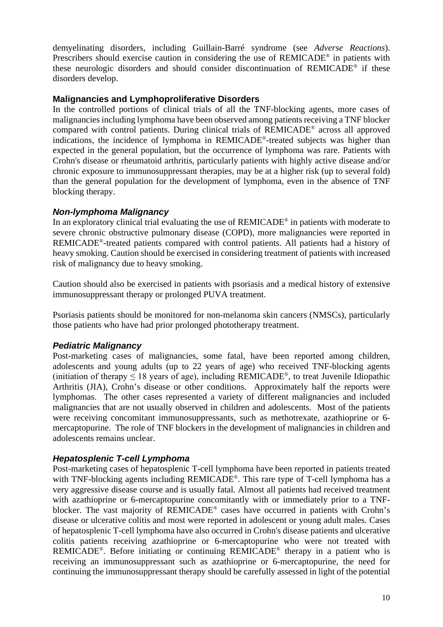demyelinating disorders, including Guillain-Barré syndrome (see *Adverse Reactions*). Prescribers should exercise caution in considering the use of REMICADE<sup>®</sup> in patients with these neurologic disorders and should consider discontinuation of REMICADE® if these disorders develop.

### **Malignancies and Lymphoproliferative Disorders**

In the controlled portions of clinical trials of all the TNF-blocking agents, more cases of malignancies including lymphoma have been observed among patients receiving a TNF blocker compared with control patients. During clinical trials of REMICADE® across all approved indications, the incidence of lymphoma in REMICADE®-treated subjects was higher than expected in the general population, but the occurrence of lymphoma was rare. Patients with Crohn's disease or rheumatoid arthritis, particularly patients with highly active disease and/or chronic exposure to immunosuppressant therapies, may be at a higher risk (up to several fold) than the general population for the development of lymphoma, even in the absence of TNF blocking therapy.

## *Non-lymphoma Malignancy*

In an exploratory clinical trial evaluating the use of REMICADE® in patients with moderate to severe chronic obstructive pulmonary disease (COPD), more malignancies were reported in REMICADE®-treated patients compared with control patients. All patients had a history of heavy smoking. Caution should be exercised in considering treatment of patients with increased risk of malignancy due to heavy smoking.

Caution should also be exercised in patients with psoriasis and a medical history of extensive immunosuppressant therapy or prolonged PUVA treatment.

Psoriasis patients should be monitored for non-melanoma skin cancers (NMSCs), particularly those patients who have had prior prolonged phototherapy treatment.

# *Pediatric Malignancy*

Post-marketing cases of malignancies, some fatal, have been reported among children, adolescents and young adults (up to 22 years of age) who received TNF-blocking agents (initiation of therapy  $\leq 18$  years of age), including REMICADE<sup>®</sup>, to treat Juvenile Idiopathic Arthritis (JIA), Crohn's disease or other conditions. Approximately half the reports were lymphomas. The other cases represented a variety of different malignancies and included malignancies that are not usually observed in children and adolescents. Most of the patients were receiving concomitant immunosuppressants, such as methotrexate, azathioprine or 6 mercaptopurine. The role of TNF blockers in the development of malignancies in children and adolescents remains unclear.

# *Hepatosplenic T-cell Lymphoma*

Post-marketing cases of hepatosplenic T-cell lymphoma have been reported in patients treated with TNF-blocking agents including REMICADE®. This rare type of T-cell lymphoma has a very aggressive disease course and is usually fatal. Almost all patients had received treatment with azathioprine or 6-mercaptopurine concomitantly with or immediately prior to a TNFblocker. The vast majority of REMICADE® cases have occurred in patients with Crohn's disease or ulcerative colitis and most were reported in adolescent or young adult males. Cases of hepatosplenic T-cell lymphoma have also occurred in Crohn's disease patients and ulcerative colitis patients receiving azathioprine or 6-mercaptopurine who were not treated with REMICADE®. Before initiating or continuing REMICADE® therapy in a patient who is receiving an immunosuppressant such as azathioprine or 6-mercaptopurine, the need for continuing the immunosuppressant therapy should be carefully assessed in light of the potential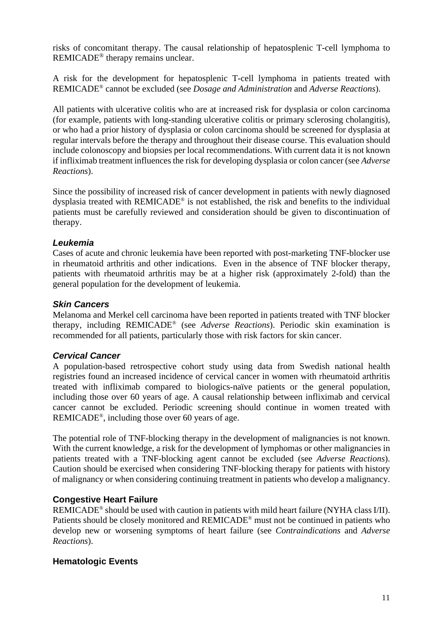risks of concomitant therapy. The causal relationship of hepatosplenic T-cell lymphoma to REMICADE® therapy remains unclear.

A risk for the development for hepatosplenic T-cell lymphoma in patients treated with REMICADE® cannot be excluded (see *Dosage and Administration* and *Adverse Reactions*).

All patients with ulcerative colitis who are at increased risk for dysplasia or colon carcinoma (for example, patients with long-standing ulcerative colitis or primary sclerosing cholangitis), or who had a prior history of dysplasia or colon carcinoma should be screened for dysplasia at regular intervals before the therapy and throughout their disease course. This evaluation should include colonoscopy and biopsies per local recommendations. With current data it is not known if infliximab treatment influences the risk for developing dysplasia or colon cancer (see *Adverse Reactions*).

Since the possibility of increased risk of cancer development in patients with newly diagnosed dysplasia treated with REMICADE® is not established, the risk and benefits to the individual patients must be carefully reviewed and consideration should be given to discontinuation of therapy.

## *Leukemia*

Cases of acute and chronic leukemia have been reported with post-marketing TNF-blocker use in rheumatoid arthritis and other indications. Even in the absence of TNF blocker therapy, patients with rheumatoid arthritis may be at a higher risk (approximately 2-fold) than the general population for the development of leukemia.

## *Skin Cancers*

Melanoma and Merkel cell carcinoma have been reported in patients treated with TNF blocker therapy, including REMICADE® (see *Adverse Reactions*). Periodic skin examination is recommended for all patients, particularly those with risk factors for skin cancer.

### *Cervical Cancer*

A population-based retrospective cohort study using data from Swedish national health registries found an increased incidence of cervical cancer in women with rheumatoid arthritis treated with infliximab compared to biologics-naïve patients or the general population, including those over 60 years of age. A causal relationship between infliximab and cervical cancer cannot be excluded. Periodic screening should continue in women treated with REMICADE®, including those over 60 years of age.

The potential role of TNF-blocking therapy in the development of malignancies is not known. With the current knowledge, a risk for the development of lymphomas or other malignancies in patients treated with a TNF-blocking agent cannot be excluded (see *Adverse Reactions*). Caution should be exercised when considering TNF-blocking therapy for patients with history of malignancy or when considering continuing treatment in patients who develop a malignancy.

### **Congestive Heart Failure**

REMICADE® should be used with caution in patients with mild heart failure (NYHA class I/II). Patients should be closely monitored and REMICADE® must not be continued in patients who develop new or worsening symptoms of heart failure (see *Contraindications* and *Adverse Reactions*).

# **Hematologic Events**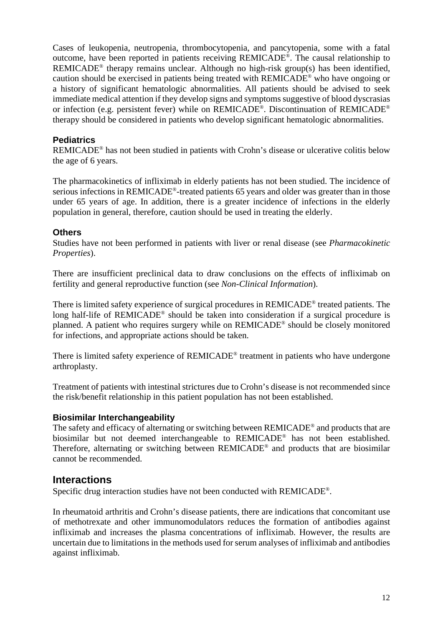Cases of leukopenia, neutropenia, thrombocytopenia, and pancytopenia, some with a fatal outcome, have been reported in patients receiving REMICADE®. The causal relationship to REMICADE<sup>®</sup> therapy remains unclear. Although no high-risk group(s) has been identified, caution should be exercised in patients being treated with REMICADE® who have ongoing or a history of significant hematologic abnormalities. All patients should be advised to seek immediate medical attention if they develop signs and symptoms suggestive of blood dyscrasias or infection (e.g. persistent fever) while on REMICADE®. Discontinuation of REMICADE® therapy should be considered in patients who develop significant hematologic abnormalities.

## **Pediatrics**

REMICADE® has not been studied in patients with Crohn's disease or ulcerative colitis below the age of 6 years.

The pharmacokinetics of infliximab in elderly patients has not been studied. The incidence of serious infections in REMICADE®-treated patients 65 years and older was greater than in those under 65 years of age. In addition, there is a greater incidence of infections in the elderly population in general, therefore, caution should be used in treating the elderly.

### **Others**

Studies have not been performed in patients with liver or renal disease (see *Pharmacokinetic Properties*).

There are insufficient preclinical data to draw conclusions on the effects of infliximab on fertility and general reproductive function (see *Non-Clinical Information*).

There is limited safety experience of surgical procedures in REMICADE® treated patients. The long half-life of REMICADE® should be taken into consideration if a surgical procedure is planned. A patient who requires surgery while on REMICADE® should be closely monitored for infections, and appropriate actions should be taken.

There is limited safety experience of REMICADE® treatment in patients who have undergone arthroplasty.

Treatment of patients with intestinal strictures due to Crohn's disease is not recommended since the risk/benefit relationship in this patient population has not been established.

### **Biosimilar Interchangeability**

The safety and efficacy of alternating or switching between REMICADE® and products that are biosimilar but not deemed interchangeable to REMICADE® has not been established. Therefore, alternating or switching between REMICADE® and products that are biosimilar cannot be recommended.

# **Interactions**

Specific drug interaction studies have not been conducted with REMICADE®.

In rheumatoid arthritis and Crohn's disease patients, there are indications that concomitant use of methotrexate and other immunomodulators reduces the formation of antibodies against infliximab and increases the plasma concentrations of infliximab. However, the results are uncertain due to limitations in the methods used for serum analyses of infliximab and antibodies against infliximab.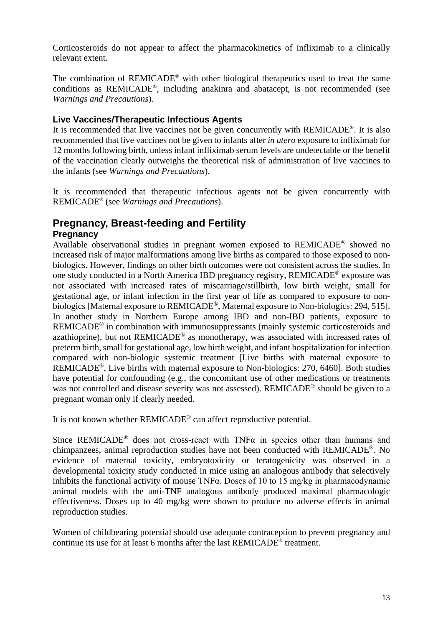Corticosteroids do not appear to affect the pharmacokinetics of infliximab to a clinically relevant extent.

The combination of REMICADE® with other biological therapeutics used to treat the same conditions as REMICADE®, including anakinra and abatacept, is not recommended (see *Warnings and Precautions*).

## **Live Vaccines/Therapeutic Infectious Agents**

It is recommended that live vaccines not be given concurrently with REMICADE®. It is also recommended that live vaccines not be given to infants after *in utero* exposure to infliximab for 12 months following birth, unless infant infliximab serum levels are undetectable or the benefit of the vaccination clearly outweighs the theoretical risk of administration of live vaccines to the infants (see *Warnings and Precautions*).

It is recommended that therapeutic infectious agents not be given concurrently with REMICADE® (see *Warnings and Precautions*).

# **Pregnancy, Breast-feeding and Fertility**

## **Pregnancy**

Available observational studies in pregnant women exposed to REMICADE® showed no increased risk of major malformations among live births as compared to those exposed to nonbiologics. However, findings on other birth outcomes were not consistent across the studies. In one study conducted in a North America IBD pregnancy registry, REMICADE® exposure was not associated with increased rates of miscarriage/stillbirth, low birth weight, small for gestational age, or infant infection in the first year of life as compared to exposure to nonbiologics [Maternal exposure to REMICADE®, Maternal exposure to Non-biologics: 294, 515]. In another study in Northern Europe among IBD and non-IBD patients, exposure to REMICADE® in combination with immunosuppressants (mainly systemic corticosteroids and azathioprine), but not REMICADE® as monotherapy, was associated with increased rates of preterm birth, small for gestational age, low birth weight, and infant hospitalization for infection compared with non-biologic systemic treatment [Live births with maternal exposure to REMICADE®, Live births with maternal exposure to Non-biologics: 270, 6460]. Both studies have potential for confounding (e.g., the concomitant use of other medications or treatments was not controlled and disease severity was not assessed). REMICADE<sup>®</sup> should be given to a pregnant woman only if clearly needed.

It is not known whether REMICADE® can affect reproductive potential.

Since REMICADE<sup>®</sup> does not cross-react with TNF $\alpha$  in species other than humans and chimpanzees, animal reproduction studies have not been conducted with REMICADE®. No evidence of maternal toxicity, embryotoxicity or teratogenicity was observed in a developmental toxicity study conducted in mice using an analogous antibody that selectively inhibits the functional activity of mouse TNFα. Doses of 10 to 15 mg/kg in pharmacodynamic animal models with the anti-TNF analogous antibody produced maximal pharmacologic effectiveness. Doses up to 40 mg/kg were shown to produce no adverse effects in animal reproduction studies.

Women of childbearing potential should use adequate contraception to prevent pregnancy and continue its use for at least 6 months after the last REMICADE® treatment.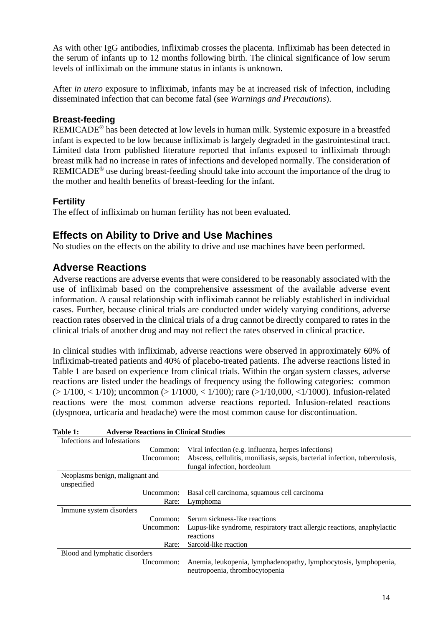As with other IgG antibodies, infliximab crosses the placenta. Infliximab has been detected in the serum of infants up to 12 months following birth. The clinical significance of low serum levels of infliximab on the immune status in infants is unknown.

After *in utero* exposure to infliximab, infants may be at increased risk of infection, including disseminated infection that can become fatal (see *Warnings and Precautions*).

## **Breast-feeding**

REMICADE® has been detected at low levels in human milk. Systemic exposure in a breastfed infant is expected to be low because infliximab is largely degraded in the gastrointestinal tract. Limited data from published literature reported that infants exposed to infliximab through breast milk had no increase in rates of infections and developed normally. The consideration of REMICADE® use during breast-feeding should take into account the importance of the drug to the mother and health benefits of breast-feeding for the infant.

## **Fertility**

The effect of infliximab on human fertility has not been evaluated.

# **Effects on Ability to Drive and Use Machines**

No studies on the effects on the ability to drive and use machines have been performed.

# **Adverse Reactions**

Adverse reactions are adverse events that were considered to be reasonably associated with the use of infliximab based on the comprehensive assessment of the available adverse event information. A causal relationship with infliximab cannot be reliably established in individual cases. Further, because clinical trials are conducted under widely varying conditions, adverse reaction rates observed in the clinical trials of a drug cannot be directly compared to rates in the clinical trials of another drug and may not reflect the rates observed in clinical practice.

In clinical studies with infliximab, adverse reactions were observed in approximately 60% of infliximab-treated patients and 40% of placebo-treated patients. The adverse reactions listed in Table 1 are based on experience from clinical trials. Within the organ system classes, adverse reactions are listed under the headings of frequency using the following categories: common  $(>1/100, < 1/10)$ ; uncommon  $(>1/1000, < 1/100)$ ; rare  $(>1/10,000, <1/1000)$ . Infusion-related reactions were the most common adverse reactions reported. Infusion-related reactions (dyspnoea, urticaria and headache) were the most common cause for discontinuation.

| Infections and Infestations     |                                                                             |
|---------------------------------|-----------------------------------------------------------------------------|
| Common:                         | Viral infection (e.g. influenza, herpes infections)                         |
| Uncommon:                       | Abscess, cellulitis, moniliasis, sepsis, bacterial infection, tuberculosis, |
|                                 | fungal infection, hordeolum                                                 |
| Neoplasms benign, malignant and |                                                                             |
| unspecified                     |                                                                             |
| Uncommon:                       | Basal cell carcinoma, squamous cell carcinoma                               |
| Rare:                           | Lymphoma                                                                    |
| Immune system disorders         |                                                                             |
| Common:                         | Serum sickness-like reactions                                               |
| Uncommon:                       | Lupus-like syndrome, respiratory tract allergic reactions, anaphylactic     |
|                                 | reactions                                                                   |
| Rare:                           | Sarcoid-like reaction                                                       |
| Blood and lymphatic disorders   |                                                                             |
| Uncommon:                       | Anemia, leukopenia, lymphadenopathy, lymphocytosis, lymphopenia,            |
|                                 | neutropoenia, thrombocytopenia                                              |

| Table 1: | <b>Adverse Reactions in Clinical Studies</b> |  |  |
|----------|----------------------------------------------|--|--|
|          |                                              |  |  |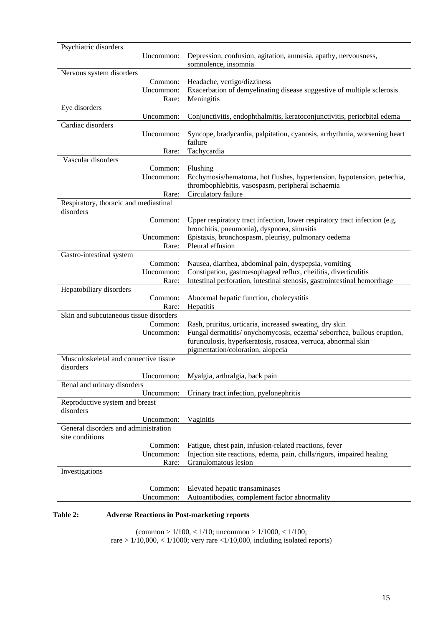| Psychiatric disorders                              |                                                                                                                                         |
|----------------------------------------------------|-----------------------------------------------------------------------------------------------------------------------------------------|
| Uncommon:                                          | Depression, confusion, agitation, amnesia, apathy, nervousness,                                                                         |
|                                                    | somnolence, insomnia                                                                                                                    |
| Nervous system disorders                           |                                                                                                                                         |
| Common:<br>Uncommon:                               | Headache, vertigo/dizziness                                                                                                             |
|                                                    | Exacerbation of demyelinating disease suggestive of multiple sclerosis<br>Meningitis                                                    |
| Rare:<br>Eye disorders                             |                                                                                                                                         |
| Uncommon:                                          | Conjunctivitis, endophthalmitis, keratoconjunctivitis, periorbital edema                                                                |
| Cardiac disorders                                  |                                                                                                                                         |
| Uncommon:                                          | Syncope, bradycardia, palpitation, cyanosis, arrhythmia, worsening heart<br>failure                                                     |
| Rare:                                              | Tachycardia                                                                                                                             |
| Vascular disorders                                 |                                                                                                                                         |
| Common:                                            | Flushing                                                                                                                                |
| Uncommon:                                          | Ecchymosis/hematoma, hot flushes, hypertension, hypotension, petechia,                                                                  |
|                                                    | thrombophlebitis, vasospasm, peripheral ischaemia                                                                                       |
| Rare:                                              | Circulatory failure                                                                                                                     |
| Respiratory, thoracic and mediastinal<br>disorders |                                                                                                                                         |
| Common:                                            | Upper respiratory tract infection, lower respiratory tract infection (e.g.                                                              |
|                                                    | bronchitis, pneumonia), dyspnoea, sinusitis                                                                                             |
| Uncommon:                                          | Epistaxis, bronchospasm, pleurisy, pulmonary oedema                                                                                     |
| Rare:                                              | Pleural effusion                                                                                                                        |
| Gastro-intestinal system                           |                                                                                                                                         |
| Common:                                            | Nausea, diarrhea, abdominal pain, dyspepsia, vomiting                                                                                   |
| Uncommon:                                          | Constipation, gastroesophageal reflux, cheilitis, diverticulitis                                                                        |
| Rare:                                              | Intestinal perforation, intestinal stenosis, gastrointestinal hemorrhage                                                                |
| Hepatobiliary disorders                            |                                                                                                                                         |
| Common:                                            | Abnormal hepatic function, cholecystitis                                                                                                |
| Rare:                                              | Hepatitis                                                                                                                               |
| Skin and subcutaneous tissue disorders             |                                                                                                                                         |
| Common:<br>Uncommon:                               | Rash, pruritus, urticaria, increased sweating, dry skin                                                                                 |
|                                                    | Fungal dermatitis/ onychomycosis, eczema/ seborrhea, bullous eruption,<br>furunculosis, hyperkeratosis, rosacea, verruca, abnormal skin |
|                                                    | pigmentation/coloration, alopecia                                                                                                       |
| Musculoskeletal and connective tissue              |                                                                                                                                         |
| disorders                                          |                                                                                                                                         |
| Uncommon:                                          | Myalgia, arthralgia, back pain                                                                                                          |
| Renal and urinary disorders                        |                                                                                                                                         |
| Uncommon:                                          | Urinary tract infection, pyelonephritis                                                                                                 |
| Reproductive system and breast                     |                                                                                                                                         |
| disorders                                          |                                                                                                                                         |
| Uncommon:                                          | Vaginitis                                                                                                                               |
| General disorders and administration               |                                                                                                                                         |
| site conditions                                    |                                                                                                                                         |
| Common:                                            | Fatigue, chest pain, infusion-related reactions, fever                                                                                  |
| Uncommon:                                          | Injection site reactions, edema, pain, chills/rigors, impaired healing                                                                  |
| Rare:                                              | Granulomatous lesion                                                                                                                    |
| Investigations                                     |                                                                                                                                         |
| Common:                                            | Elevated hepatic transaminases                                                                                                          |
| Uncommon:                                          | Autoantibodies, complement factor abnormality                                                                                           |
|                                                    |                                                                                                                                         |

#### **Table 2: Adverse Reactions in Post-marketing reports**

 $\text{(common} > 1/100, < 1/10; \text{ uncommon} > 1/1000, < 1/100;$ rare  $> 1/10,000, < 1/1000$ ; very rare  $< 1/10,000$ , including isolated reports)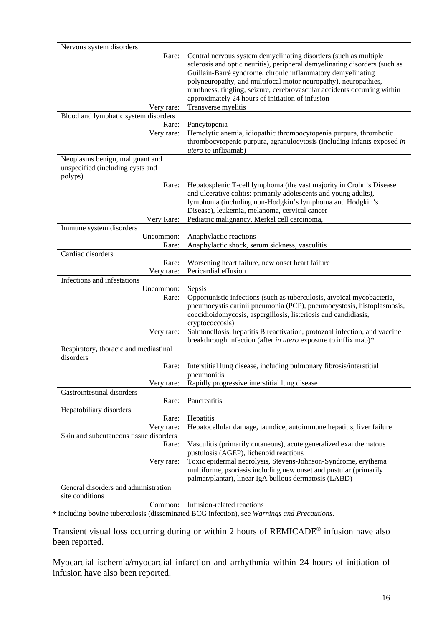| Nervous system disorders                    |                                                                                                                                                                                                                                                                                                                                                             |
|---------------------------------------------|-------------------------------------------------------------------------------------------------------------------------------------------------------------------------------------------------------------------------------------------------------------------------------------------------------------------------------------------------------------|
| Rare:                                       | Central nervous system demyelinating disorders (such as multiple<br>sclerosis and optic neuritis), peripheral demyelinating disorders (such as<br>Guillain-Barré syndrome, chronic inflammatory demyelinating<br>polyneuropathy, and multifocal motor neuropathy), neuropathies,<br>numbness, tingling, seizure, cerebrovascular accidents occurring within |
|                                             | approximately 24 hours of initiation of infusion                                                                                                                                                                                                                                                                                                            |
| Very rare:                                  | Transverse myelitis                                                                                                                                                                                                                                                                                                                                         |
| Blood and lymphatic system disorders        |                                                                                                                                                                                                                                                                                                                                                             |
| Rare:<br>Very rare:                         | Pancytopenia<br>Hemolytic anemia, idiopathic thrombocytopenia purpura, thrombotic<br>thrombocytopenic purpura, agranulocytosis (including infants exposed in<br><i>utero</i> to infliximab)                                                                                                                                                                 |
| Neoplasms benign, malignant and             |                                                                                                                                                                                                                                                                                                                                                             |
| unspecified (including cysts and<br>polyps) |                                                                                                                                                                                                                                                                                                                                                             |
| Rare:                                       | Hepatosplenic T-cell lymphoma (the vast majority in Crohn's Disease<br>and ulcerative colitis: primarily adolescents and young adults),<br>lymphoma (including non-Hodgkin's lymphoma and Hodgkin's<br>Disease), leukemia, melanoma, cervical cancer                                                                                                        |
| Very Rare:<br>Immune system disorders       | Pediatric malignancy, Merkel cell carcinoma,                                                                                                                                                                                                                                                                                                                |
| Uncommon:                                   | Anaphylactic reactions                                                                                                                                                                                                                                                                                                                                      |
| Rare:                                       | Anaphylactic shock, serum sickness, vasculitis                                                                                                                                                                                                                                                                                                              |
| Cardiac disorders                           |                                                                                                                                                                                                                                                                                                                                                             |
| Rare:<br>Very rare:                         | Worsening heart failure, new onset heart failure<br>Pericardial effusion                                                                                                                                                                                                                                                                                    |
| Infections and infestations                 |                                                                                                                                                                                                                                                                                                                                                             |
| Uncommon:<br>Rare:                          | Sepsis<br>Opportunistic infections (such as tuberculosis, atypical mycobacteria,<br>pneumocystis carinii pneumonia (PCP), pneumocystosis, histoplasmosis,<br>coccidioidomycosis, aspergillosis, listeriosis and candidiasis,<br>cryptococcosis)                                                                                                             |
| Very rare:                                  | Salmonellosis, hepatitis B reactivation, protozoal infection, and vaccine<br>breakthrough infection (after in utero exposure to infliximab)*                                                                                                                                                                                                                |
| Respiratory, thoracic and mediastinal       |                                                                                                                                                                                                                                                                                                                                                             |
| disorders                                   |                                                                                                                                                                                                                                                                                                                                                             |
| Rare:                                       | Interstitial lung disease, including pulmonary fibrosis/interstitial<br><i>nneumonitis</i>                                                                                                                                                                                                                                                                  |
| Very rare:                                  | Rapidly progressive interstitial lung disease                                                                                                                                                                                                                                                                                                               |
| Gastrointestinal disorders                  |                                                                                                                                                                                                                                                                                                                                                             |
| Rare:<br>Hepatobiliary disorders            | Pancreatitis                                                                                                                                                                                                                                                                                                                                                |
| Rare:                                       | Hepatitis                                                                                                                                                                                                                                                                                                                                                   |
| Very rare:                                  | Hepatocellular damage, jaundice, autoimmune hepatitis, liver failure                                                                                                                                                                                                                                                                                        |
| Skin and subcutaneous tissue disorders      |                                                                                                                                                                                                                                                                                                                                                             |
| Rare:                                       | Vasculitis (primarily cutaneous), acute generalized exanthematous<br>pustulosis (AGEP), lichenoid reactions                                                                                                                                                                                                                                                 |
| Very rare:                                  | Toxic epidermal necrolysis, Stevens-Johnson-Syndrome, erythema                                                                                                                                                                                                                                                                                              |
|                                             | multiforme, psoriasis including new onset and pustular (primarily                                                                                                                                                                                                                                                                                           |
| General disorders and administration        | palmar/plantar), linear IgA bullous dermatosis (LABD)                                                                                                                                                                                                                                                                                                       |
| site conditions                             |                                                                                                                                                                                                                                                                                                                                                             |
| Common:                                     | Infusion-related reactions                                                                                                                                                                                                                                                                                                                                  |

\* including bovine tuberculosis (disseminated BCG infection), see *Warnings and Precautions*.

Transient visual loss occurring during or within 2 hours of REMICADE® infusion have also been reported.

Myocardial ischemia/myocardial infarction and arrhythmia within 24 hours of initiation of infusion have also been reported.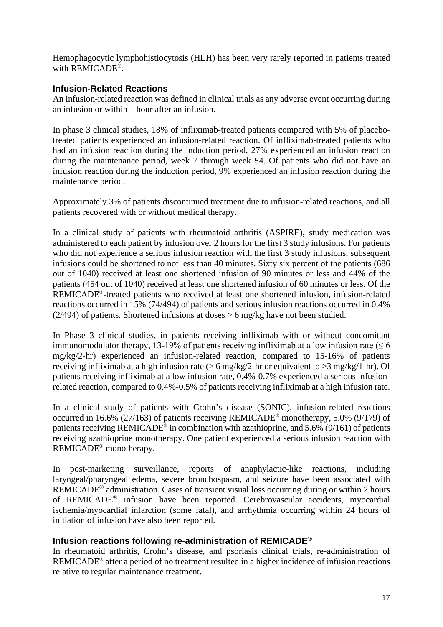Hemophagocytic lymphohistiocytosis (HLH) has been very rarely reported in patients treated with REMICADE®.

### **Infusion-Related Reactions**

An infusion-related reaction was defined in clinical trials as any adverse event occurring during an infusion or within 1 hour after an infusion.

In phase 3 clinical studies, 18% of infliximab-treated patients compared with 5% of placebotreated patients experienced an infusion-related reaction. Of infliximab-treated patients who had an infusion reaction during the induction period, 27% experienced an infusion reaction during the maintenance period, week 7 through week 54. Of patients who did not have an infusion reaction during the induction period, 9% experienced an infusion reaction during the maintenance period.

Approximately 3% of patients discontinued treatment due to infusion-related reactions, and all patients recovered with or without medical therapy.

In a clinical study of patients with rheumatoid arthritis (ASPIRE), study medication was administered to each patient by infusion over 2 hours for the first 3 study infusions. For patients who did not experience a serious infusion reaction with the first 3 study infusions, subsequent infusions could be shortened to not less than 40 minutes. Sixty six percent of the patients (686 out of 1040) received at least one shortened infusion of 90 minutes or less and 44% of the patients (454 out of 1040) received at least one shortened infusion of 60 minutes or less. Of the REMICADE®-treated patients who received at least one shortened infusion, infusion-related reactions occurred in 15% (74/494) of patients and serious infusion reactions occurred in 0.4% (2/494) of patients. Shortened infusions at doses  $> 6$  mg/kg have not been studied.

In Phase 3 clinical studies, in patients receiving infliximab with or without concomitant immunomodulator therapy, 13-19% of patients receiving infliximab at a low infusion rate ( $\leq 6$ ) mg/kg/2-hr) experienced an infusion-related reaction, compared to 15-16% of patients receiving infliximab at a high infusion rate ( $> 6$  mg/kg/2-hr or equivalent to  $> 3$  mg/kg/1-hr). Of patients receiving infliximab at a low infusion rate, 0.4%-0.7% experienced a serious infusionrelated reaction, compared to 0.4%-0.5% of patients receiving infliximab at a high infusion rate.

In a clinical study of patients with Crohn's disease (SONIC), infusion-related reactions occurred in 16.6% (27/163) of patients receiving REMICADE® monotherapy, 5.0% (9/179) of patients receiving REMICADE® in combination with azathioprine, and 5.6% (9/161) of patients receiving azathioprine monotherapy. One patient experienced a serious infusion reaction with REMICADE® monotherapy.

In post-marketing surveillance, reports of anaphylactic-like reactions, including laryngeal/pharyngeal edema, severe bronchospasm, and seizure have been associated with REMICADE<sup>®</sup> administration. Cases of transient visual loss occurring during or within 2 hours of REMICADE® infusion have been reported. Cerebrovascular accidents, myocardial ischemia/myocardial infarction (some fatal), and arrhythmia occurring within 24 hours of initiation of infusion have also been reported.

### **Infusion reactions following re-administration of REMICADE®**

In rheumatoid arthritis, Crohn's disease, and psoriasis clinical trials, re-administration of REMICADE® after a period of no treatment resulted in a higher incidence of infusion reactions relative to regular maintenance treatment.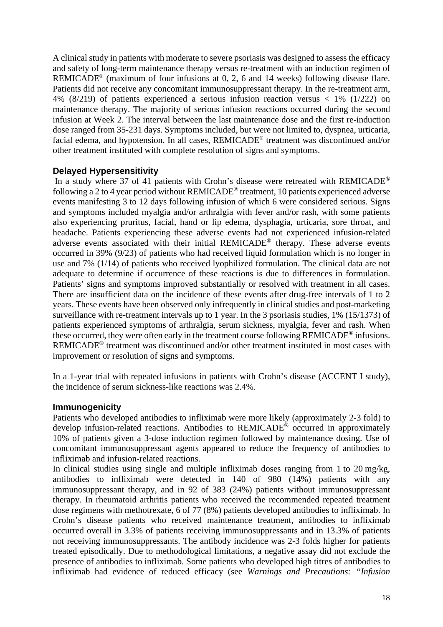A clinical study in patients with moderate to severe psoriasis was designed to assess the efficacy and safety of long-term maintenance therapy versus re-treatment with an induction regimen of REMICADE® (maximum of four infusions at 0, 2, 6 and 14 weeks) following disease flare. Patients did not receive any concomitant immunosuppressant therapy. In the re-treatment arm, 4% (8/219) of patients experienced a serious infusion reaction versus < 1% (1/222) on maintenance therapy. The majority of serious infusion reactions occurred during the second infusion at Week 2. The interval between the last maintenance dose and the first re-induction dose ranged from 35-231 days. Symptoms included, but were not limited to, dyspnea, urticaria, facial edema, and hypotension. In all cases, REMICADE® treatment was discontinued and/or other treatment instituted with complete resolution of signs and symptoms.

### **Delayed Hypersensitivity**

In a study where 37 of 41 patients with Crohn's disease were retreated with REMICADE<sup>®</sup> following a 2 to 4 year period without REMICADE® treatment, 10 patients experienced adverse events manifesting 3 to 12 days following infusion of which 6 were considered serious. Signs and symptoms included myalgia and/or arthralgia with fever and/or rash, with some patients also experiencing pruritus, facial, hand or lip edema, dysphagia, urticaria, sore throat, and headache. Patients experiencing these adverse events had not experienced infusion-related adverse events associated with their initial REMICADE® therapy. These adverse events occurred in 39% (9/23) of patients who had received liquid formulation which is no longer in use and 7% (1/14) of patients who received lyophilized formulation. The clinical data are not adequate to determine if occurrence of these reactions is due to differences in formulation. Patients' signs and symptoms improved substantially or resolved with treatment in all cases. There are insufficient data on the incidence of these events after drug-free intervals of 1 to 2 years. These events have been observed only infrequently in clinical studies and post-marketing surveillance with re-treatment intervals up to 1 year. In the 3 psoriasis studies, 1% (15/1373) of patients experienced symptoms of arthralgia, serum sickness, myalgia, fever and rash. When these occurred, they were often early in the treatment course following REMICADE® infusions. REMICADE® treatment was discontinued and/or other treatment instituted in most cases with improvement or resolution of signs and symptoms.

In a 1-year trial with repeated infusions in patients with Crohn's disease (ACCENT I study), the incidence of serum sickness-like reactions was 2.4%.

#### **Immunogenicity**

Patients who developed antibodies to infliximab were more likely (approximately 2-3 fold) to develop infusion-related reactions. Antibodies to REMICADE® occurred in approximately 10% of patients given a 3-dose induction regimen followed by maintenance dosing. Use of concomitant immunosuppressant agents appeared to reduce the frequency of antibodies to infliximab and infusion-related reactions.

In clinical studies using single and multiple infliximab doses ranging from 1 to 20 mg/kg, antibodies to infliximab were detected in 140 of 980 (14%) patients with any immunosuppressant therapy, and in 92 of 383 (24%) patients without immunosuppressant therapy. In rheumatoid arthritis patients who received the recommended repeated treatment dose regimens with methotrexate, 6 of 77 (8%) patients developed antibodies to infliximab. In Crohn's disease patients who received maintenance treatment, antibodies to infliximab occurred overall in 3.3% of patients receiving immunosuppressants and in 13.3% of patients not receiving immunosuppressants. The antibody incidence was 2-3 folds higher for patients treated episodically. Due to methodological limitations, a negative assay did not exclude the presence of antibodies to infliximab. Some patients who developed high titres of antibodies to infliximab had evidence of reduced efficacy (see *Warnings and Precautions: "Infusion*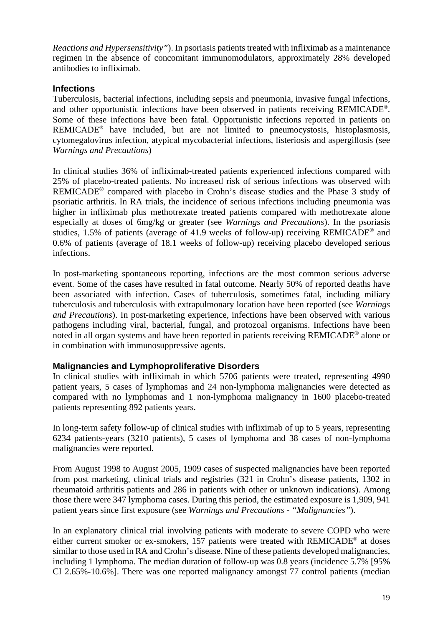*Reactions and Hypersensitivity"*). In psoriasis patients treated with infliximab as a maintenance regimen in the absence of concomitant immunomodulators, approximately 28% developed antibodies to infliximab.

## **Infections**

Tuberculosis, bacterial infections, including sepsis and pneumonia, invasive fungal infections, and other opportunistic infections have been observed in patients receiving REMICADE®. Some of these infections have been fatal. Opportunistic infections reported in patients on REMICADE® have included, but are not limited to pneumocystosis, histoplasmosis, cytomegalovirus infection, atypical mycobacterial infections, listeriosis and aspergillosis (see *Warnings and Precautions*)

In clinical studies 36% of infliximab-treated patients experienced infections compared with 25% of placebo-treated patients. No increased risk of serious infections was observed with REMICADE® compared with placebo in Crohn's disease studies and the Phase 3 study of psoriatic arthritis. In RA trials, the incidence of serious infections including pneumonia was higher in infliximab plus methotrexate treated patients compared with methotrexate alone especially at doses of 6mg/kg or greater (see *Warnings and Precautions*). In the psoriasis studies, 1.5% of patients (average of 41.9 weeks of follow-up) receiving REMICADE® and 0.6% of patients (average of 18.1 weeks of follow-up) receiving placebo developed serious infections.

In post-marketing spontaneous reporting, infections are the most common serious adverse event. Some of the cases have resulted in fatal outcome. Nearly 50% of reported deaths have been associated with infection. Cases of tuberculosis, sometimes fatal, including miliary tuberculosis and tuberculosis with extrapulmonary location have been reported (see *Warnings and Precautions*). In post-marketing experience, infections have been observed with various pathogens including viral, bacterial, fungal, and protozoal organisms. Infections have been noted in all organ systems and have been reported in patients receiving REMICADE® alone or in combination with immunosuppressive agents.

### **Malignancies and Lymphoproliferative Disorders**

In clinical studies with infliximab in which 5706 patients were treated, representing 4990 patient years, 5 cases of lymphomas and 24 non-lymphoma malignancies were detected as compared with no lymphomas and 1 non-lymphoma malignancy in 1600 placebo-treated patients representing 892 patients years.

In long-term safety follow-up of clinical studies with infliximab of up to 5 years, representing 6234 patients-years (3210 patients), 5 cases of lymphoma and 38 cases of non-lymphoma malignancies were reported.

From August 1998 to August 2005, 1909 cases of suspected malignancies have been reported from post marketing, clinical trials and registries (321 in Crohn's disease patients, 1302 in rheumatoid arthritis patients and 286 in patients with other or unknown indications). Among those there were 347 lymphoma cases. During this period, the estimated exposure is 1,909, 941 patient years since first exposure (see *Warnings and Precautions - "Malignancies"*).

In an explanatory clinical trial involving patients with moderate to severe COPD who were either current smoker or ex-smokers, 157 patients were treated with REMICADE® at doses similar to those used in RA and Crohn's disease. Nine of these patients developed malignancies, including 1 lymphoma. The median duration of follow-up was 0.8 years (incidence 5.7% [95% CI 2.65%-10.6%]. There was one reported malignancy amongst 77 control patients (median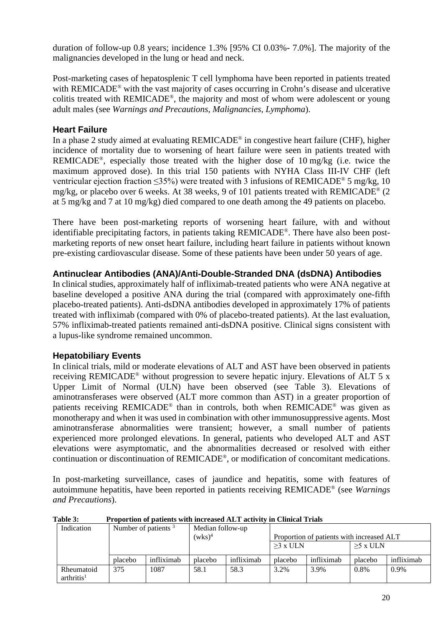duration of follow-up 0.8 years; incidence 1.3% [95% CI 0.03%- 7.0%]. The majority of the malignancies developed in the lung or head and neck.

Post-marketing cases of hepatosplenic T cell lymphoma have been reported in patients treated with REMICADE<sup>®</sup> with the vast majority of cases occurring in Crohn's disease and ulcerative colitis treated with REMICADE®, the majority and most of whom were adolescent or young adult males (see *Warnings and Precautions, Malignancies, Lymphoma*).

## **Heart Failure**

In a phase 2 study aimed at evaluating REMICADE® in congestive heart failure (CHF), higher incidence of mortality due to worsening of heart failure were seen in patients treated with REMICADE®, especially those treated with the higher dose of 10 mg/kg (i.e. twice the maximum approved dose). In this trial 150 patients with NYHA Class III-IV CHF (left ventricular ejection fraction ≤35%) were treated with 3 infusions of REMICADE® 5 mg/kg, 10 mg/kg, or placebo over 6 weeks. At 38 weeks, 9 of 101 patients treated with REMICADE® (2 at 5 mg/kg and 7 at 10 mg/kg) died compared to one death among the 49 patients on placebo.

There have been post-marketing reports of worsening heart failure, with and without identifiable precipitating factors, in patients taking REMICADE®. There have also been postmarketing reports of new onset heart failure, including heart failure in patients without known pre-existing cardiovascular disease. Some of these patients have been under 50 years of age.

## **Antinuclear Antibodies (ANA)/Anti-Double-Stranded DNA (dsDNA) Antibodies**

In clinical studies, approximately half of infliximab-treated patients who were ANA negative at baseline developed a positive ANA during the trial (compared with approximately one-fifth placebo-treated patients). Anti-dsDNA antibodies developed in approximately 17% of patients treated with infliximab (compared with 0% of placebo-treated patients). At the last evaluation, 57% infliximab-treated patients remained anti-dsDNA positive. Clinical signs consistent with a lupus-like syndrome remained uncommon.

# **Hepatobiliary Events**

In clinical trials, mild or moderate elevations of ALT and AST have been observed in patients receiving REMICADE® without progression to severe hepatic injury. Elevations of ALT 5 x Upper Limit of Normal (ULN) have been observed (see Table 3). Elevations of aminotransferases were observed (ALT more common than AST) in a greater proportion of patients receiving REMICADE® than in controls, both when REMICADE® was given as monotherapy and when it was used in combination with other immunosuppressive agents. Most aminotransferase abnormalities were transient; however, a small number of patients experienced more prolonged elevations. In general, patients who developed ALT and AST elevations were asymptomatic, and the abnormalities decreased or resolved with either continuation or discontinuation of REMICADE®, or modification of concomitant medications.

In post-marketing surveillance, cases of jaundice and hepatitis, some with features of autoimmune hepatitis, have been reported in patients receiving REMICADE® (see *Warnings and Precautions*).

| Tabic 9.<br>TTODOLUON OL DAUCHIS WILLI MICLEASEU ALLI ACHYILY III CHIMCAL TTIAIS |         |                                                                                                      |         |            |            |            |            |            |
|----------------------------------------------------------------------------------|---------|------------------------------------------------------------------------------------------------------|---------|------------|------------|------------|------------|------------|
| Indication                                                                       |         | Number of patients $3$<br>Median follow-up<br>$(wks)^4$<br>Proportion of patients with increased ALT |         |            |            |            |            |            |
|                                                                                  |         |                                                                                                      |         |            | $>3$ x ULN |            | $>5$ x ULN |            |
|                                                                                  | placebo | infliximab                                                                                           | placebo | infliximab | placebo    | infliximab | placebo    | infliximab |
| Rheumatoid<br>arthritis <sup>1</sup>                                             | 375     | 1087                                                                                                 | 58.1    | 58.3       | 3.2%       | 3.9%       | 0.8%       | $0.9\%$    |

**Table 3: Proportion of patients with increased ALT activity in Clinical Trials**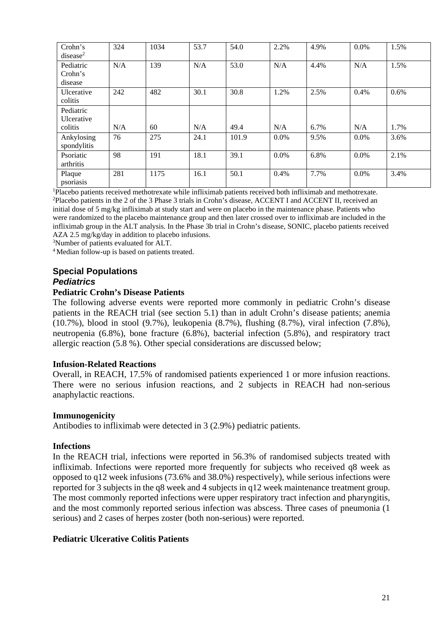| Crohn's<br>disease <sup>2</sup>    | 324 | 1034 | 53.7 | 54.0  | 2.2%    | 4.9% | $0.0\%$ | 1.5% |
|------------------------------------|-----|------|------|-------|---------|------|---------|------|
| Pediatric<br>Crohn's<br>disease    | N/A | 139  | N/A  | 53.0  | N/A     | 4.4% | N/A     | 1.5% |
| Ulcerative<br>colitis              | 242 | 482  | 30.1 | 30.8  | 1.2%    | 2.5% | 0.4%    | 0.6% |
| Pediatric<br>Ulcerative<br>colitis | N/A | 60   | N/A  | 49.4  | N/A     | 6.7% | N/A     | 1.7% |
| Ankylosing<br>spondylitis          | 76  | 275  | 24.1 | 101.9 | $0.0\%$ | 9.5% | $0.0\%$ | 3.6% |
| Psoriatic<br>arthritis             | 98  | 191  | 18.1 | 39.1  | $0.0\%$ | 6.8% | $0.0\%$ | 2.1% |
| Plaque<br>psoriasis                | 281 | 1175 | 16.1 | 50.1  | 0.4%    | 7.7% | 0.0%    | 3.4% |

1 Placebo patients received methotrexate while infliximab patients received both infliximab and methotrexate. 2 Placebo patients in the 2 of the 3 Phase 3 trials in Crohn's disease, ACCENT I and ACCENT II, received an initial dose of 5 mg/kg infliximab at study start and were on placebo in the maintenance phase. Patients who were randomized to the placebo maintenance group and then later crossed over to infliximab are included in the

infliximab group in the ALT analysis. In the Phase 3b trial in Crohn's disease, SONIC, placebo patients received AZA 2.5 mg/kg/day in addition to placebo infusions.

3 Number of patients evaluated for ALT.

4 Median follow-up is based on patients treated.

#### **Special Populations** *Pediatrics*

#### **Pediatric Crohn's Disease Patients**

The following adverse events were reported more commonly in pediatric Crohn's disease patients in the REACH trial (see section 5.1) than in adult Crohn's disease patients; anemia (10.7%), blood in stool (9.7%), leukopenia (8.7%), flushing (8.7%), viral infection (7.8%), neutropenia (6.8%), bone fracture (6.8%), bacterial infection (5.8%), and respiratory tract allergic reaction (5.8 %). Other special considerations are discussed below;

#### **Infusion-Related Reactions**

Overall, in REACH, 17.5% of randomised patients experienced 1 or more infusion reactions. There were no serious infusion reactions, and 2 subjects in REACH had non-serious anaphylactic reactions.

#### **Immunogenicity**

Antibodies to infliximab were detected in 3 (2.9%) pediatric patients.

#### **Infections**

In the REACH trial, infections were reported in 56.3% of randomised subjects treated with infliximab. Infections were reported more frequently for subjects who received q8 week as opposed to q12 week infusions (73.6% and 38.0%) respectively), while serious infections were reported for 3 subjects in the q8 week and 4 subjects in q12 week maintenance treatment group. The most commonly reported infections were upper respiratory tract infection and pharyngitis, and the most commonly reported serious infection was abscess. Three cases of pneumonia (1 serious) and 2 cases of herpes zoster (both non-serious) were reported.

#### **Pediatric Ulcerative Colitis Patients**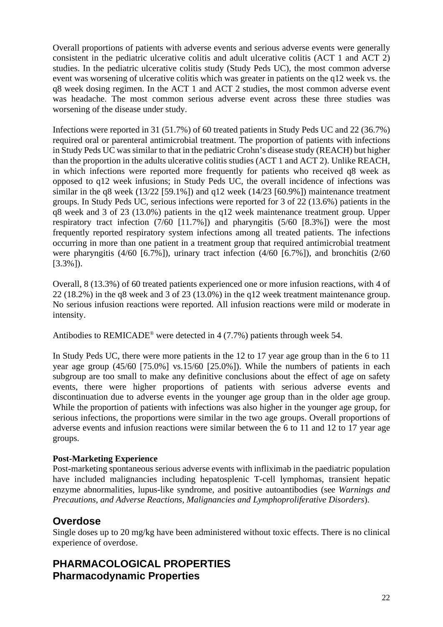Overall proportions of patients with adverse events and serious adverse events were generally consistent in the pediatric ulcerative colitis and adult ulcerative colitis (ACT 1 and ACT 2) studies. In the pediatric ulcerative colitis study (Study Peds UC), the most common adverse event was worsening of ulcerative colitis which was greater in patients on the q12 week vs. the q8 week dosing regimen. In the ACT 1 and ACT 2 studies, the most common adverse event was headache. The most common serious adverse event across these three studies was worsening of the disease under study.

Infections were reported in 31 (51.7%) of 60 treated patients in Study Peds UC and 22 (36.7%) required oral or parenteral antimicrobial treatment. The proportion of patients with infections in Study Peds UC was similar to that in the pediatric Crohn's disease study (REACH) but higher than the proportion in the adults ulcerative colitis studies (ACT 1 and ACT 2). Unlike REACH, in which infections were reported more frequently for patients who received q8 week as opposed to q12 week infusions; in Study Peds UC, the overall incidence of infections was similar in the q8 week  $(13/22)$  [59.1%]) and q12 week  $(14/23)$  [60.9%]) maintenance treatment groups. In Study Peds UC, serious infections were reported for 3 of 22 (13.6%) patients in the q8 week and 3 of 23 (13.0%) patients in the q12 week maintenance treatment group. Upper respiratory tract infection (7/60 [11.7%]) and pharyngitis (5/60 [8.3%]) were the most frequently reported respiratory system infections among all treated patients. The infections occurring in more than one patient in a treatment group that required antimicrobial treatment were pharyngitis (4/60 [6.7%]), urinary tract infection (4/60 [6.7%]), and bronchitis (2/60 [3.3%]).

Overall, 8 (13.3%) of 60 treated patients experienced one or more infusion reactions, with 4 of 22 (18.2%) in the q8 week and 3 of 23 (13.0%) in the q12 week treatment maintenance group. No serious infusion reactions were reported. All infusion reactions were mild or moderate in intensity.

Antibodies to REMICADE<sup>®</sup> were detected in 4 (7.7%) patients through week 54.

In Study Peds UC, there were more patients in the 12 to 17 year age group than in the 6 to 11 year age group (45/60 [75.0%] vs.15/60 [25.0%]). While the numbers of patients in each subgroup are too small to make any definitive conclusions about the effect of age on safety events, there were higher proportions of patients with serious adverse events and discontinuation due to adverse events in the younger age group than in the older age group. While the proportion of patients with infections was also higher in the younger age group, for serious infections, the proportions were similar in the two age groups. Overall proportions of adverse events and infusion reactions were similar between the 6 to 11 and 12 to 17 year age groups.

### **Post-Marketing Experience**

Post-marketing spontaneous serious adverse events with infliximab in the paediatric population have included malignancies including hepatosplenic T-cell lymphomas, transient hepatic enzyme abnormalities, lupus-like syndrome, and positive autoantibodies (see *Warnings and Precautions, and Adverse Reactions, Malignancies and Lymphoproliferative Disorders*).

# **Overdose**

Single doses up to 20 mg/kg have been administered without toxic effects. There is no clinical experience of overdose.

# **PHARMACOLOGICAL PROPERTIES Pharmacodynamic Properties**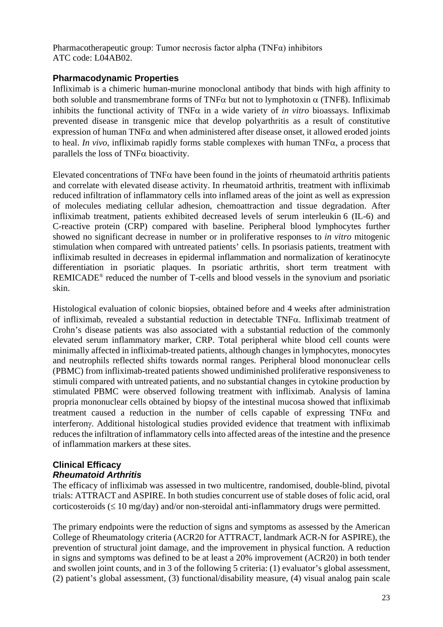Pharmacotherapeutic group: Tumor necrosis factor alpha (TNFα) inhibitors ATC code: L04AB02.

### **Pharmacodynamic Properties**

Infliximab is a chimeric human-murine monoclonal antibody that binds with high affinity to both soluble and transmembrane forms of TNF $\alpha$  but not to lymphotoxin  $\alpha$  (TNFB). Infliximab inhibits the functional activity of TNF $\alpha$  in a wide variety of *in vitro* bioassays. Infliximab prevented disease in transgenic mice that develop polyarthritis as a result of constitutive expression of human  $TNF\alpha$  and when administered after disease onset, it allowed eroded joints to heal. *In vivo*, infliximab rapidly forms stable complexes with human TNF $\alpha$ , a process that parallels the loss of TNFα bioactivity.

Elevated concentrations of TNF $\alpha$  have been found in the joints of rheumatoid arthritis patients and correlate with elevated disease activity. In rheumatoid arthritis, treatment with infliximab reduced infiltration of inflammatory cells into inflamed areas of the joint as well as expression of molecules mediating cellular adhesion, chemoattraction and tissue degradation. After infliximab treatment, patients exhibited decreased levels of serum interleukin 6 (IL-6) and C-reactive protein (CRP) compared with baseline. Peripheral blood lymphocytes further showed no significant decrease in number or in proliferative responses to *in vitro* mitogenic stimulation when compared with untreated patients' cells. In psoriasis patients, treatment with infliximab resulted in decreases in epidermal inflammation and normalization of keratinocyte differentiation in psoriatic plaques. In psoriatic arthritis, short term treatment with REMICADE® reduced the number of T-cells and blood vessels in the synovium and psoriatic skin.

Histological evaluation of colonic biopsies, obtained before and 4 weeks after administration of infliximab, revealed a substantial reduction in detectable TNFα. Infliximab treatment of Crohn's disease patients was also associated with a substantial reduction of the commonly elevated serum inflammatory marker, CRP. Total peripheral white blood cell counts were minimally affected in infliximab-treated patients, although changes in lymphocytes, monocytes and neutrophils reflected shifts towards normal ranges. Peripheral blood mononuclear cells (PBMC) from infliximab-treated patients showed undiminished proliferative responsiveness to stimuli compared with untreated patients, and no substantial changes in cytokine production by stimulated PBMC were observed following treatment with infliximab. Analysis of lamina propria mononuclear cells obtained by biopsy of the intestinal mucosa showed that infliximab treatment caused a reduction in the number of cells capable of expressing  $TNF\alpha$  and interferonγ. Additional histological studies provided evidence that treatment with infliximab reduces the infiltration of inflammatory cells into affected areas of the intestine and the presence of inflammation markers at these sites.

## **Clinical Efficacy** *Rheumatoid Arthritis*

The efficacy of infliximab was assessed in two multicentre, randomised, double-blind, pivotal trials: ATTRACT and ASPIRE. In both studies concurrent use of stable doses of folic acid, oral corticosteroids ( $\leq 10$  mg/day) and/or non-steroidal anti-inflammatory drugs were permitted.

The primary endpoints were the reduction of signs and symptoms as assessed by the American College of Rheumatology criteria (ACR20 for ATTRACT, landmark ACR-N for ASPIRE), the prevention of structural joint damage, and the improvement in physical function. A reduction in signs and symptoms was defined to be at least a 20% improvement (ACR20) in both tender and swollen joint counts, and in 3 of the following 5 criteria: (1) evaluator's global assessment, (2) patient's global assessment, (3) functional/disability measure, (4) visual analog pain scale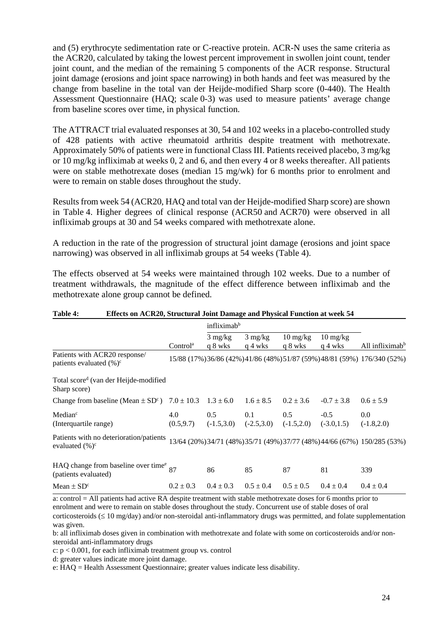and (5) erythrocyte sedimentation rate or C-reactive protein. ACR-N uses the same criteria as the ACR20, calculated by taking the lowest percent improvement in swollen joint count, tender joint count, and the median of the remaining 5 components of the ACR response. Structural joint damage (erosions and joint space narrowing) in both hands and feet was measured by the change from baseline in the total van der Heijde-modified Sharp score (0-440). The Health Assessment Questionnaire (HAQ; scale 0-3) was used to measure patients' average change from baseline scores over time, in physical function.

The ATTRACT trial evaluated responses at 30, 54 and 102 weeks in a placebo-controlled study of 428 patients with active rheumatoid arthritis despite treatment with methotrexate. Approximately 50% of patients were in functional Class III. Patients received placebo, 3 mg/kg or 10 mg/kg infliximab at weeks 0, 2 and 6, and then every 4 or 8 weeks thereafter. All patients were on stable methotrexate doses (median 15 mg/wk) for 6 months prior to enrolment and were to remain on stable doses throughout the study.

Results from week 54 (ACR20, HAQ and total van der Heijde-modified Sharp score) are shown in Table 4. Higher degrees of clinical response (ACR50 and ACR70) were observed in all infliximab groups at 30 and 54 weeks compared with methotrexate alone.

A reduction in the rate of the progression of structural joint damage (erosions and joint space narrowing) was observed in all infliximab groups at 54 weeks (Table 4).

The effects observed at 54 weeks were maintained through 102 weeks. Due to a number of treatment withdrawals, the magnitude of the effect difference between infliximab and the methotrexate alone group cannot be defined.

|                                                                           |                      | infliximab <sup>b</sup>       |                              |                                             |                                             |                                                                           |
|---------------------------------------------------------------------------|----------------------|-------------------------------|------------------------------|---------------------------------------------|---------------------------------------------|---------------------------------------------------------------------------|
|                                                                           | Control <sup>a</sup> | $3 \text{ mg/kg}$<br>q 8 wks  | $3 \text{ mg/kg}$<br>q 4 wks | $10 \frac{\text{mg}}{\text{kg}}$<br>q 8 wks | $10 \frac{\text{mg}}{\text{kg}}$<br>q 4 wks | All infliximab <sup>b</sup>                                               |
| Patients with ACR20 response/<br>patients evaluated $(\% )^c$             |                      |                               |                              |                                             |                                             | 15/88 (17%) 36/86 (42%) 41/86 (48%) 51/87 (59%) 48/81 (59%) 176/340 (52%) |
| Total score <sup>d</sup> (van der Heijde-modified<br>Sharp score)         |                      |                               |                              |                                             |                                             |                                                                           |
| Change from baseline (Mean $\pm$ SD <sup>c</sup> )                        | $7.0 \pm 10.3$       | $1.3 \pm 6.0$                 | $1.6 \pm 8.5$                | $0.2 \pm 3.6$                               | $-0.7 \pm 3.8$                              | $0.6 \pm 5.9$                                                             |
| Median <sup>c</sup><br>(Interquartile range)                              | 4.0<br>(0.5.9.7)     | $0.5^{\circ}$<br>$(-1.5,3.0)$ | 0.1<br>$(-2.5,3.0)$          | 0.5<br>$(-1.5,2.0)$                         | $-0.5$<br>$(-3.0, 1.5)$                     | 0.0<br>$(-1.8,2.0)$                                                       |
| Patients with no deterioration/patients<br>evaluated $(\%)^c$             |                      |                               |                              |                                             |                                             | 13/64 (20%) 34/71 (48%) 35/71 (49%) 37/77 (48%) 44/66 (67%) 150/285 (53%) |
| HAQ change from baseline over time $\frac{e}{87}$<br>(patients evaluated) |                      | 86                            | 85                           | 87                                          | 81                                          | 339                                                                       |
| Mean $\pm$ SD <sup>c</sup>                                                | $0.2 \pm 0.3$        | $0.4 \pm 0.3$                 | $0.5 \pm 0.4$                | $0.5 \pm 0.5$                               | $0.4 \pm 0.4$                               | $0.4 \pm 0.4$                                                             |

#### **Table 4: Effects on ACR20, Structural Joint Damage and Physical Function at week 54**

a: control = All patients had active RA despite treatment with stable methotrexate doses for 6 months prior to enrolment and were to remain on stable doses throughout the study. Concurrent use of stable doses of oral corticosteroids  $(\leq 10 \text{ mg/day})$  and/or non-steroidal anti-inflammatory drugs was permitted, and folate supplementation was given.

b: all infliximab doses given in combination with methotrexate and folate with some on corticosteroids and/or nonsteroidal anti-inflammatory drugs

c:  $p < 0.001$ , for each infliximab treatment group vs. control

d: greater values indicate more joint damage.

e: HAQ = Health Assessment Questionnaire; greater values indicate less disability.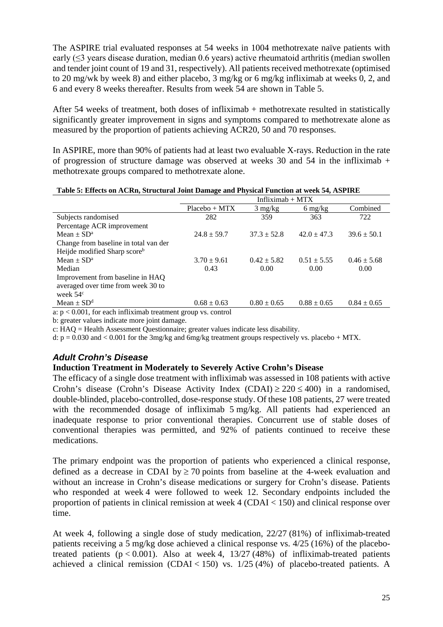The ASPIRE trial evaluated responses at 54 weeks in 1004 methotrexate naïve patients with early (≤3 years disease duration, median 0.6 years) active rheumatoid arthritis (median swollen and tender joint count of 19 and 31, respectively). All patients received methotrexate (optimised to 20 mg/wk by week 8) and either placebo, 3 mg/kg or 6 mg/kg infliximab at weeks 0, 2, and 6 and every 8 weeks thereafter. Results from week 54 are shown in Table 5.

After 54 weeks of treatment, both doses of infliximab + methotrexate resulted in statistically significantly greater improvement in signs and symptoms compared to methotrexate alone as measured by the proportion of patients achieving ACR20, 50 and 70 responses.

In ASPIRE, more than 90% of patients had at least two evaluable X-rays. Reduction in the rate of progression of structure damage was observed at weeks 30 and 54 in the infliximab  $+$ methotrexate groups compared to methotrexate alone.

|                                                                                      | Table 5. Effects on ACKII, Structural John Damage and I hysical Function at week 54, ASI IKE |                   |                                 |                 |  |  |  |
|--------------------------------------------------------------------------------------|----------------------------------------------------------------------------------------------|-------------------|---------------------------------|-----------------|--|--|--|
|                                                                                      | Infliximab $+$ MTX                                                                           |                   |                                 |                 |  |  |  |
|                                                                                      | $Placebo + MTX$                                                                              | $3 \text{ mg/kg}$ | $6 \frac{\text{mg}}{\text{kg}}$ | Combined        |  |  |  |
| Subjects randomised                                                                  | 282                                                                                          | 359               | 363                             | 722             |  |  |  |
| Percentage ACR improvement                                                           |                                                                                              |                   |                                 |                 |  |  |  |
| Mean $\pm$ SD <sup>a</sup>                                                           | $24.8 \pm 59.7$                                                                              | $37.3 \pm 52.8$   | $42.0 \pm 47.3$                 | $39.6 \pm 50.1$ |  |  |  |
| Change from baseline in total van der                                                |                                                                                              |                   |                                 |                 |  |  |  |
| Heijde modified Sharp scoreb                                                         |                                                                                              |                   |                                 |                 |  |  |  |
| Mean $\pm$ SD <sup>a</sup>                                                           | $3.70 \pm 9.61$                                                                              | $0.42 \pm 5.82$   | $0.51 \pm 5.55$                 | $0.46 \pm 5.68$ |  |  |  |
| Median                                                                               | 0.43                                                                                         | 0.00              | 0.00                            | 0.00            |  |  |  |
| Improvement from baseline in HAQ                                                     |                                                                                              |                   |                                 |                 |  |  |  |
| averaged over time from week 30 to                                                   |                                                                                              |                   |                                 |                 |  |  |  |
| week $54c$                                                                           |                                                                                              |                   |                                 |                 |  |  |  |
| $Mean \pm SD^d$                                                                      | $0.68 \pm 0.63$                                                                              | $0.80 \pm 0.65$   | $0.88 \pm 0.65$                 | $0.84 \pm 0.65$ |  |  |  |
| $\alpha$ $\alpha$ $\beta$ 001 for each infliximal tractment quarter $\alpha$ control |                                                                                              |                   |                                 |                 |  |  |  |

**Table 5: Effects on ACRn, Structural Joint Damage and Physical Function at week 54, ASPIRE**

a:  $p < 0.001$ , for each infliximab treatment group vs. control

b: greater values indicate more joint damage.

c: HAQ = Health Assessment Questionnaire; greater values indicate less disability.

d:  $p = 0.030$  and  $\lt 0.001$  for the 3mg/kg and 6mg/kg treatment groups respectively vs. placebo + MTX.

### *Adult Crohn's Disease*

#### **Induction Treatment in Moderately to Severely Active Crohn's Disease**

The efficacy of a single dose treatment with infliximab was assessed in 108 patients with active Crohn's disease (Crohn's Disease Activity Index (CDAI)  $\geq$  220  $\leq$  400) in a randomised, double-blinded, placebo-controlled, dose-response study. Of these 108 patients, 27 were treated with the recommended dosage of infliximab 5 mg/kg. All patients had experienced an inadequate response to prior conventional therapies. Concurrent use of stable doses of conventional therapies was permitted, and 92% of patients continued to receive these medications.

The primary endpoint was the proportion of patients who experienced a clinical response, defined as a decrease in CDAI by  $\geq$  70 points from baseline at the 4-week evaluation and without an increase in Crohn's disease medications or surgery for Crohn's disease. Patients who responded at week 4 were followed to week 12. Secondary endpoints included the proportion of patients in clinical remission at week 4 (CDAI < 150) and clinical response over time.

At week 4, following a single dose of study medication, 22/27 (81%) of infliximab-treated patients receiving a 5 mg/kg dose achieved a clinical response vs. 4/25 (16%) of the placebotreated patients  $(p < 0.001)$ . Also at week 4, 13/27 (48%) of infliximab-treated patients achieved a clinical remission (CDAI < 150) vs.  $1/25(4%)$  of placebo-treated patients. A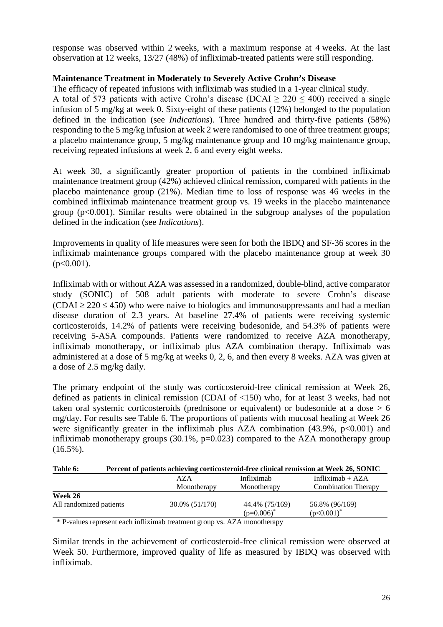response was observed within 2 weeks, with a maximum response at 4 weeks. At the last observation at 12 weeks, 13/27 (48%) of infliximab-treated patients were still responding.

#### **Maintenance Treatment in Moderately to Severely Active Crohn's Disease**

The efficacy of repeated infusions with infliximab was studied in a 1-year clinical study. A total of 573 patients with active Crohn's disease (DCAI  $\geq$  220  $\leq$  400) received a single infusion of 5 mg/kg at week 0. Sixty-eight of these patients (12%) belonged to the population defined in the indication (see *Indications*). Three hundred and thirty-five patients (58%) responding to the 5 mg/kg infusion at week 2 were randomised to one of three treatment groups; a placebo maintenance group, 5 mg/kg maintenance group and 10 mg/kg maintenance group, receiving repeated infusions at week 2, 6 and every eight weeks.

At week 30, a significantly greater proportion of patients in the combined infliximab maintenance treatment group (42%) achieved clinical remission, compared with patients in the placebo maintenance group (21%). Median time to loss of response was 46 weeks in the combined infliximab maintenance treatment group vs. 19 weeks in the placebo maintenance group ( $p<0.001$ ). Similar results were obtained in the subgroup analyses of the population defined in the indication (see *Indications*).

Improvements in quality of life measures were seen for both the IBDQ and SF-36 scores in the infliximab maintenance groups compared with the placebo maintenance group at week 30  $(p<0.001)$ .

Infliximab with or without AZA was assessed in a randomized, double-blind, active comparator study (SONIC) of 508 adult patients with moderate to severe Crohn's disease  $(CDAI \ge 220 \le 450)$  who were naive to biologics and immunosuppressants and had a median disease duration of 2.3 years. At baseline 27.4% of patients were receiving systemic corticosteroids, 14.2% of patients were receiving budesonide, and 54.3% of patients were receiving 5-ASA compounds. Patients were randomized to receive AZA monotherapy, infliximab monotherapy, or infliximab plus AZA combination therapy. Infliximab was administered at a dose of 5 mg/kg at weeks 0, 2, 6, and then every 8 weeks. AZA was given at a dose of 2.5 mg/kg daily.

The primary endpoint of the study was corticosteroid-free clinical remission at Week 26, defined as patients in clinical remission (CDAI of <150) who, for at least 3 weeks, had not taken oral systemic corticosteroids (prednisone or equivalent) or budesonide at a dose  $> 6$ mg/day. For results see Table 6. The proportions of patients with mucosal healing at Week 26 were significantly greater in the infliximab plus AZA combination  $(43.9\%$ ,  $p<0.001)$  and infliximab monotherapy groups (30.1%, p=0.023) compared to the AZA monotherapy group (16.5%).

| Percent of patients achieving corticosteroid-free clinical remission at Week 26, SONIC<br>Table 6: |  |
|----------------------------------------------------------------------------------------------------|--|
|----------------------------------------------------------------------------------------------------|--|

|                                                                                        | AZA            | Infliximab     | Infliximab $+ AZA$         |
|----------------------------------------------------------------------------------------|----------------|----------------|----------------------------|
|                                                                                        | Monotherapy    | Monotherapy    | <b>Combination Therapy</b> |
| Week 26                                                                                | 30.0% (51/170) | 44.4% (75/169) | 56.8% (96/169)             |
| All randomized patients                                                                |                | $(p=0.006)^*$  | $(p<0.001)^*$              |
| $*$ P-values represent each infliximab treatment group vs $A\overline{Z}A$ monotherapy |                |                |                            |

\* P-values represent each infliximab treatment group vs. AZA monotherapy

Similar trends in the achievement of corticosteroid-free clinical remission were observed at Week 50. Furthermore, improved quality of life as measured by IBDQ was observed with infliximab.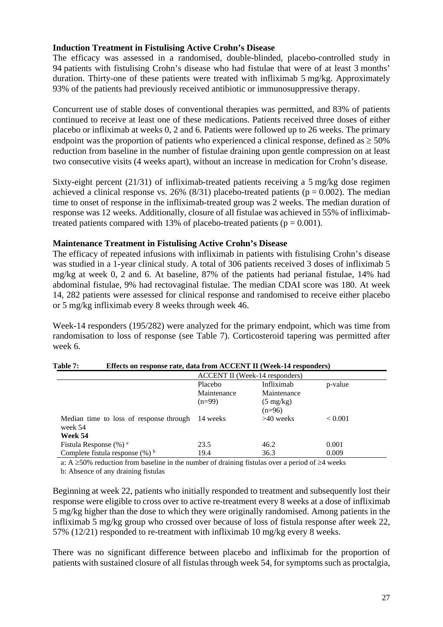#### **Induction Treatment in Fistulising Active Crohn's Disease**

The efficacy was assessed in a randomised, double-blinded, placebo-controlled study in 94 patients with fistulising Crohn's disease who had fistulae that were of at least 3 months' duration. Thirty-one of these patients were treated with infliximab 5 mg/kg. Approximately 93% of the patients had previously received antibiotic or immunosuppressive therapy.

Concurrent use of stable doses of conventional therapies was permitted, and 83% of patients continued to receive at least one of these medications. Patients received three doses of either placebo or infliximab at weeks 0, 2 and 6. Patients were followed up to 26 weeks. The primary endpoint was the proportion of patients who experienced a clinical response, defined as  $\geq$  50% reduction from baseline in the number of fistulae draining upon gentle compression on at least two consecutive visits (4 weeks apart), without an increase in medication for Crohn's disease.

Sixty-eight percent (21/31) of infliximab-treated patients receiving a 5 mg/kg dose regimen achieved a clinical response vs. 26% (8/31) placebo-treated patients ( $p = 0.002$ ). The median time to onset of response in the infliximab-treated group was 2 weeks. The median duration of response was 12 weeks. Additionally, closure of all fistulae was achieved in 55% of infliximabtreated patients compared with 13% of placebo-treated patients ( $p = 0.001$ ).

#### **Maintenance Treatment in Fistulising Active Crohn's Disease**

The efficacy of repeated infusions with infliximab in patients with fistulising Crohn's disease was studied in a 1-year clinical study. A total of 306 patients received 3 doses of infliximab 5 mg/kg at week 0, 2 and 6. At baseline, 87% of the patients had perianal fistulae, 14% had abdominal fistulae, 9% had rectovaginal fistulae. The median CDAI score was 180. At week 14, 282 patients were assessed for clinical response and randomised to receive either placebo or 5 mg/kg infliximab every 8 weeks through week 46.

Week-14 responders (195/282) were analyzed for the primary endpoint, which was time from randomisation to loss of response (see Table 7). Corticosteroid tapering was permitted after week 6.

| тани т<br>ETIQUE ON TUSPONSU TAIG, GAGA TI ONI TIULULUI II ( 11 UUN 17 TUSPONGUIS) |             |                                |         |  |
|------------------------------------------------------------------------------------|-------------|--------------------------------|---------|--|
|                                                                                    |             | ACCENT II (Week-14 responders) |         |  |
|                                                                                    | Placebo     | Infliximab                     | p-value |  |
|                                                                                    | Maintenance | Maintenance                    |         |  |
|                                                                                    | $(n=99)$    | $(5 \text{ mg/kg})$            |         |  |
|                                                                                    |             | $(n=96)$                       |         |  |
| Median time to loss of response through<br>week 54                                 | 14 weeks    | $>40$ weeks                    | < 0.001 |  |
| Week 54                                                                            |             |                                |         |  |
| Fistula Response $(\%)$ <sup>a</sup>                                               | 23.5        | 46.2                           | 0.001   |  |
| Complete fistula response $(\%)^b$                                                 | 19.4        | 36.3                           | 0.009   |  |

# **Table 7: Effects on response rate, data from ACCENT II (Week-14 responders)**

a: A ≥50% reduction from baseline in the number of draining fistulas over a period of ≥4 weeks b: Absence of any draining fistulas

Beginning at week 22, patients who initially responded to treatment and subsequently lost their response were eligible to cross over to active re-treatment every 8 weeks at a dose of infliximab 5 mg/kg higher than the dose to which they were originally randomised. Among patients in the infliximab 5 mg/kg group who crossed over because of loss of fistula response after week 22, 57% (12/21) responded to re-treatment with infliximab 10 mg/kg every 8 weeks.

There was no significant difference between placebo and infliximab for the proportion of patients with sustained closure of all fistulas through week 54, for symptoms such as proctalgia,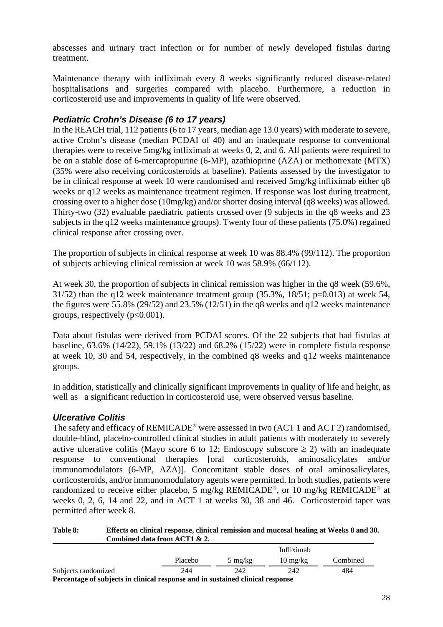abscesses and urinary tract infection or for number of newly developed fistulas during treatment.

Maintenance therapy with infliximab every 8 weeks significantly reduced disease-related hospitalisations and surgeries compared with placebo. Furthermore, a reduction in corticosteroid use and improvements in quality of life were observed.

### *Pediatric Crohn's Disease (6 to 17 years)*

In the REACH trial, 112 patients (6 to 17 years, median age 13.0 years) with moderate to severe, active Crohn's disease (median PCDAI of 40) and an inadequate response to conventional therapies were to receive 5mg/kg infliximab at weeks 0, 2, and 6. All patients were required to be on a stable dose of 6-mercaptopurine (6-MP), azathioprine (AZA) or methotrexate (MTX) (35% were also receiving corticosteroids at baseline). Patients assessed by the investigator to be in clinical response at week 10 were randomised and received 5mg/kg infliximab either q8 weeks or q12 weeks as maintenance treatment regimen. If response was lost during treatment, crossing over to a higher dose (10mg/kg) and/or shorter dosing interval (q8 weeks) was allowed. Thirty-two (32) evaluable paediatric patients crossed over (9 subjects in the q8 weeks and 23 subjects in the q12 weeks maintenance groups). Twenty four of these patients (75.0%) regained clinical response after crossing over.

The proportion of subjects in clinical response at week 10 was 88.4% (99/112). The proportion of subjects achieving clinical remission at week 10 was 58.9% (66/112).

At week 30, the proportion of subjects in clinical remission was higher in the q8 week (59.6%,  $31/52$ ) than the q12 week maintenance treatment group (35.3%, 18/51; p=0.013) at week 54, the figures were 55.8% (29/52) and 23.5% (12/51) in the q8 weeks and q12 weeks maintenance groups, respectively  $(p<0.001)$ .

Data about fistulas were derived from PCDAI scores. Of the 22 subjects that had fistulas at baseline, 63.6% (14/22), 59.1% (13/22) and 68.2% (15/22) were in complete fistula response at week 10, 30 and 54, respectively, in the combined q8 weeks and q12 weeks maintenance groups.

In addition, statistically and clinically significant improvements in quality of life and height, as well as a significant reduction in corticosteroid use, were observed versus baseline.

### *Ulcerative Colitis*

The safety and efficacy of REMICADE® were assessed in two (ACT 1 and ACT 2) randomised, double-blind, placebo-controlled clinical studies in adult patients with moderately to severely active ulcerative colitis (Mayo score 6 to 12; Endoscopy subscore  $\geq$  2) with an inadequate response to conventional therapies [oral corticosteroids, aminosalicylates and/or immunomodulators (6-MP, AZA)]. Concomitant stable doses of oral aminosalicylates, corticosteroids, and/or immunomodulatory agents were permitted. In both studies, patients were randomized to receive either placebo, 5 mg/kg REMICADE®, or 10 mg/kg REMICADE® at weeks 0, 2, 6, 14 and 22, and in ACT 1 at weeks 30, 38 and 46. Corticosteroid taper was permitted after week 8.

**Table 8: Effects on clinical response, clinical remission and mucosal healing at Weeks 8 and 30. Combined data from ACT1 & 2.**

|                                                                                  |         |                   | Infliximah         |          |
|----------------------------------------------------------------------------------|---------|-------------------|--------------------|----------|
|                                                                                  | Placebo | $5 \text{ mg/kg}$ | $10 \text{ mg/kg}$ | Combined |
| Subjects randomized                                                              | 244     | 242               | 242                | 484      |
| Demonstrate of only lands in aliminal means and an analyzing aliminal means were |         |                   |                    |          |

**Percentage of subjects in clinical response and in sustained clinical response**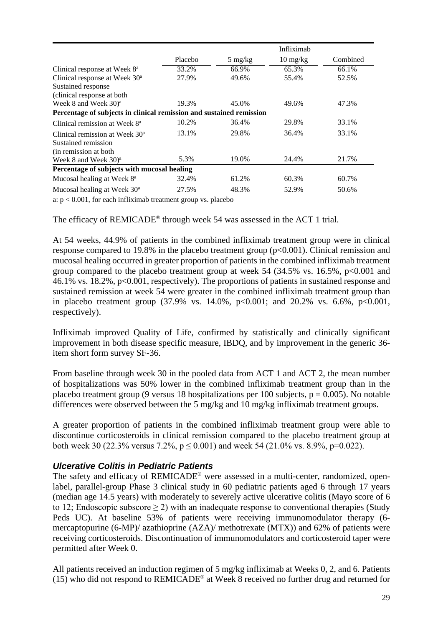|                                                                      |                |                   | Infliximab                       |          |  |  |
|----------------------------------------------------------------------|----------------|-------------------|----------------------------------|----------|--|--|
|                                                                      | <b>Placebo</b> | $5 \text{ mg/kg}$ | $10 \frac{\text{mg}}{\text{kg}}$ | Combined |  |  |
| Clinical response at Week 8 <sup>a</sup>                             | 33.2%          | 66.9%             | 65.3%                            | 66.1%    |  |  |
| Clinical response at Week 30 <sup>a</sup>                            | 27.9%          | 49.6%             | 55.4%                            | 52.5%    |  |  |
| Sustained response                                                   |                |                   |                                  |          |  |  |
| (clinical response at both                                           |                |                   |                                  |          |  |  |
| Week 8 and Week $30)^a$                                              | 19.3%          | 45.0%             | 49.6%                            | 47.3%    |  |  |
| Percentage of subjects in clinical remission and sustained remission |                |                   |                                  |          |  |  |
| Clinical remission at Week 8 <sup>a</sup>                            | 10.2%          | 36.4%             | 29.8%                            | 33.1%    |  |  |
| Clinical remission at Week $30a$                                     | 13.1%          | 29.8%             | 36.4%                            | 33.1%    |  |  |
| Sustained remission                                                  |                |                   |                                  |          |  |  |
| (in remission at both)                                               |                |                   |                                  |          |  |  |
| Week 8 and Week $30)^a$                                              | 5.3%           | 19.0%             | 24.4%                            | 21.7%    |  |  |
| Percentage of subjects with mucosal healing                          |                |                   |                                  |          |  |  |
| Mucosal healing at Week 8 <sup>a</sup>                               | 32.4%          | 61.2%             | 60.3%                            | 60.7%    |  |  |
| Mucosal healing at Week 30 <sup>a</sup>                              | 27.5%          | 48.3%             | 52.9%                            | 50.6%    |  |  |

a:  $p < 0.001$ , for each infliximab treatment group vs. placebo

The efficacy of REMICADE® through week 54 was assessed in the ACT 1 trial.

At 54 weeks, 44.9% of patients in the combined infliximab treatment group were in clinical response compared to 19.8% in the placebo treatment group (p<0.001). Clinical remission and mucosal healing occurred in greater proportion of patients in the combined infliximab treatment group compared to the placebo treatment group at week 54 (34.5% vs. 16.5%,  $p<0.001$  and 46.1% vs. 18.2%, p<0.001, respectively). The proportions of patients in sustained response and sustained remission at week 54 were greater in the combined infliximab treatment group than in placebo treatment group  $(37.9\% \text{ vs. } 14.0\%, \text{ p} < 0.001; \text{ and } 20.2\% \text{ vs. } 6.6\%, \text{ p} < 0.001$ , respectively).

Infliximab improved Quality of Life, confirmed by statistically and clinically significant improvement in both disease specific measure, IBDQ, and by improvement in the generic 36 item short form survey SF-36.

From baseline through week 30 in the pooled data from ACT 1 and ACT 2, the mean number of hospitalizations was 50% lower in the combined infliximab treatment group than in the placebo treatment group (9 versus 18 hospitalizations per 100 subjects,  $p = 0.005$ ). No notable differences were observed between the 5 mg/kg and 10 mg/kg infliximab treatment groups.

A greater proportion of patients in the combined infliximab treatment group were able to discontinue corticosteroids in clinical remission compared to the placebo treatment group at both week 30 (22.3% versus 7.2%,  $p \le 0.001$ ) and week 54 (21.0% vs. 8.9%, p=0.022).

### *Ulcerative Colitis in Pediatric Patients*

The safety and efficacy of REMICADE® were assessed in a multi-center, randomized, openlabel, parallel-group Phase 3 clinical study in 60 pediatric patients aged 6 through 17 years (median age 14.5 years) with moderately to severely active ulcerative colitis (Mayo score of 6 to 12; Endoscopic subscore  $\geq$  2) with an inadequate response to conventional therapies (Study Peds UC). At baseline 53% of patients were receiving immunomodulator therapy (6 mercaptopurine (6-MP)/ azathioprine (AZA)/ methotrexate (MTX)) and 62% of patients were receiving corticosteroids. Discontinuation of immunomodulators and corticosteroid taper were permitted after Week 0.

All patients received an induction regimen of 5 mg/kg infliximab at Weeks 0, 2, and 6. Patients (15) who did not respond to REMICADE® at Week 8 received no further drug and returned for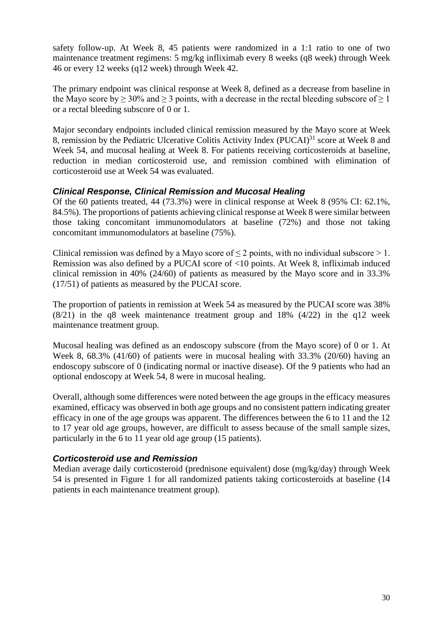safety follow-up. At Week 8, 45 patients were randomized in a 1:1 ratio to one of two maintenance treatment regimens: 5 mg/kg infliximab every 8 weeks (q8 week) through Week 46 or every 12 weeks (q12 week) through Week 42.

The primary endpoint was clinical response at Week 8, defined as a decrease from baseline in the Mayo score by  $\geq 30\%$  and  $\geq 3$  points, with a decrease in the rectal bleeding subscore of  $\geq 1$ or a rectal bleeding subscore of 0 or 1.

Major secondary endpoints included clinical remission measured by the Mayo score at Week 8, remission by the Pediatric Ulcerative Colitis Activity Index (PUCAI)<sup>31</sup> score at Week 8 and Week 54, and mucosal healing at Week 8. For patients receiving corticosteroids at baseline, reduction in median corticosteroid use, and remission combined with elimination of corticosteroid use at Week 54 was evaluated.

### *Clinical Response, Clinical Remission and Mucosal Healing*

Of the 60 patients treated, 44 (73.3%) were in clinical response at Week 8 (95% CI: 62.1%, 84.5%). The proportions of patients achieving clinical response at Week 8 were similar between those taking concomitant immunomodulators at baseline (72%) and those not taking concomitant immunomodulators at baseline (75%).

Clinical remission was defined by a Mayo score of  $\leq 2$  points, with no individual subscore  $> 1$ . Remission was also defined by a PUCAI score of <10 points. At Week 8, infliximab induced clinical remission in 40% (24/60) of patients as measured by the Mayo score and in 33.3% (17/51) of patients as measured by the PUCAI score.

The proportion of patients in remission at Week 54 as measured by the PUCAI score was 38%  $(8/21)$  in the q8 week maintenance treatment group and 18%  $(4/22)$  in the q12 week maintenance treatment group.

Mucosal healing was defined as an endoscopy subscore (from the Mayo score) of 0 or 1. At Week 8, 68.3% (41/60) of patients were in mucosal healing with 33.3% (20/60) having an endoscopy subscore of 0 (indicating normal or inactive disease). Of the 9 patients who had an optional endoscopy at Week 54, 8 were in mucosal healing.

Overall, although some differences were noted between the age groups in the efficacy measures examined, efficacy was observed in both age groups and no consistent pattern indicating greater efficacy in one of the age groups was apparent. The differences between the 6 to 11 and the 12 to 17 year old age groups, however, are difficult to assess because of the small sample sizes, particularly in the 6 to 11 year old age group (15 patients).

### *Corticosteroid use and Remission*

Median average daily corticosteroid (prednisone equivalent) dose (mg/kg/day) through Week 54 is presented in Figure 1 for all randomized patients taking corticosteroids at baseline (14 patients in each maintenance treatment group).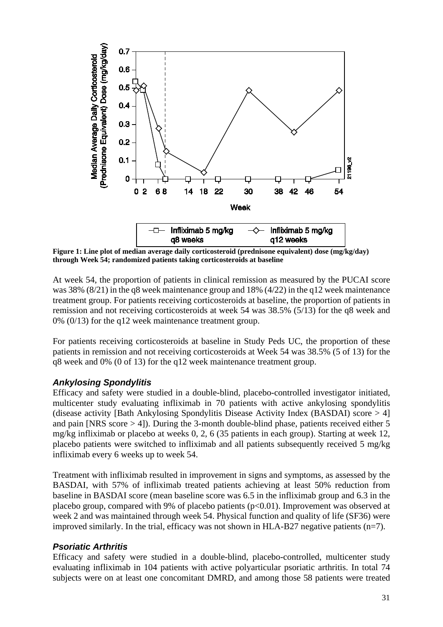

**Figure 1: Line plot of median average daily corticosteroid (prednisone equivalent) dose (mg/kg/day) through Week 54; randomized patients taking corticosteroids at baseline**

At week 54, the proportion of patients in clinical remission as measured by the PUCAI score was 38% (8/21) in the q8 week maintenance group and 18% (4/22) in the q12 week maintenance treatment group. For patients receiving corticosteroids at baseline, the proportion of patients in remission and not receiving corticosteroids at week 54 was 38.5% (5/13) for the q8 week and 0% (0/13) for the q12 week maintenance treatment group.

For patients receiving corticosteroids at baseline in Study Peds UC, the proportion of these patients in remission and not receiving corticosteroids at Week 54 was 38.5% (5 of 13) for the q8 week and 0% (0 of 13) for the q12 week maintenance treatment group.

### *Ankylosing Spondylitis*

Efficacy and safety were studied in a double-blind, placebo-controlled investigator initiated, multicenter study evaluating infliximab in 70 patients with active ankylosing spondylitis (disease activity [Bath Ankylosing Spondylitis Disease Activity Index (BASDAI) score > 4] and pain [NRS score > 4]). During the 3-month double-blind phase, patients received either 5 mg/kg infliximab or placebo at weeks 0, 2, 6 (35 patients in each group). Starting at week 12, placebo patients were switched to infliximab and all patients subsequently received 5 mg/kg infliximab every 6 weeks up to week 54.

Treatment with infliximab resulted in improvement in signs and symptoms, as assessed by the BASDAI, with 57% of infliximab treated patients achieving at least 50% reduction from baseline in BASDAI score (mean baseline score was 6.5 in the infliximab group and 6.3 in the placebo group, compared with 9% of placebo patients (p<0.01). Improvement was observed at week 2 and was maintained through week 54. Physical function and quality of life (SF36) were improved similarly. In the trial, efficacy was not shown in HLA-B27 negative patients  $(n=7)$ .

# *Psoriatic Arthritis*

Efficacy and safety were studied in a double-blind, placebo-controlled, multicenter study evaluating infliximab in 104 patients with active polyarticular psoriatic arthritis. In total 74 subjects were on at least one concomitant DMRD, and among those 58 patients were treated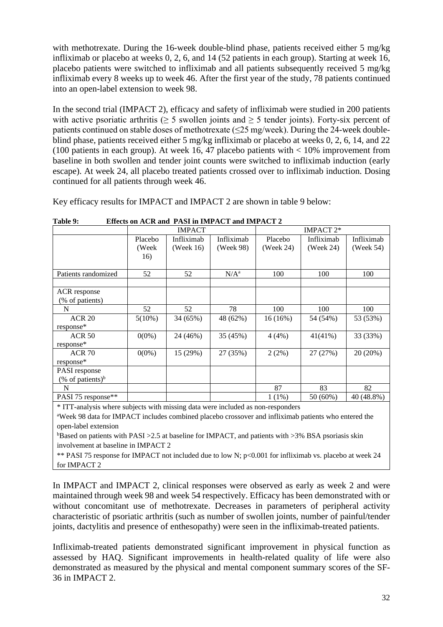with methotrexate. During the 16-week double-blind phase, patients received either 5 mg/kg infliximab or placebo at weeks 0, 2, 6, and 14 (52 patients in each group). Starting at week 16, placebo patients were switched to infliximab and all patients subsequently received 5 mg/kg infliximab every 8 weeks up to week 46. After the first year of the study, 78 patients continued into an open-label extension to week 98.

In the second trial (IMPACT 2), efficacy and safety of infliximab were studied in 200 patients with active psoriatic arthritis ( $\geq$  5 swollen joints and  $\geq$  5 tender joints). Forty-six percent of patients continued on stable doses of methotrexate (≤25 mg/week). During the 24-week doubleblind phase, patients received either 5 mg/kg infliximab or placebo at weeks 0, 2, 6, 14, and 22 (100 patients in each group). At week 16, 47 placebo patients with  $< 10\%$  improvement from baseline in both swollen and tender joint counts were switched to infliximab induction (early escape). At week 24, all placebo treated patients crossed over to infliximab induction. Dosing continued for all patients through week 46.

Key efficacy results for IMPACT and IMPACT 2 are shown in table 9 below:

|                                 | <b>IMPACT</b> |            | IMPACT 2*  |           |            |            |
|---------------------------------|---------------|------------|------------|-----------|------------|------------|
|                                 | Placebo       | Infliximab | Infliximab | Placebo   | Infliximab | Infliximab |
|                                 | (Week         | (Week 16)  | (Week 98)  | (Week 24) | (Week 24)  | (Week 54)  |
|                                 | 16)           |            |            |           |            |            |
| Patients randomized             | 52            | 52         | $N/A^a$    | 100       | 100        | 100        |
|                                 |               |            |            |           |            |            |
| ACR response                    |               |            |            |           |            |            |
| (% of patients)                 |               |            |            |           |            |            |
| N                               | 52            | 52         | 78         | 100       | 100        | 100        |
| <b>ACR 20</b>                   | $5(10\%)$     | 34 (65%)   | 48 (62%)   | 16(16%)   | 54 (54%)   | 53 (53%)   |
| response*                       |               |            |            |           |            |            |
| <b>ACR 50</b>                   | $0(0\%)$      | 24 (46%)   | 35 (45%)   | 4(4%)     | $41(41\%)$ | 33 (33%)   |
| response*                       |               |            |            |           |            |            |
| $ACR$ 70                        | $0(0\%)$      | 15 (29%)   | 27 (35%)   | 2(2%)     | 27 (27%)   | 20 (20%)   |
| response*                       |               |            |            |           |            |            |
| <b>PASI</b> response            |               |            |            |           |            |            |
| $(\%$ of patients) <sup>b</sup> |               |            |            |           |            |            |
| N                               |               |            |            | 87        | 83         | 82         |
| PASI 75 response**              |               |            |            | $1(1\%)$  | 50 (60%)   | 40 (48.8%) |

**Table 9: Effects on ACR and PASI in IMPACT and IMPACT 2** 

\* ITT-analysis where subjects with missing data were included as non-responders

<sup>a</sup>Week 98 data for IMPACT includes combined placebo crossover and infliximab patients who entered the open-label extension

<sup>b</sup>Based on patients with PASI > 2.5 at baseline for IMPACT, and patients with > 3% BSA psoriasis skin involvement at baseline in IMPACT 2

\*\* PASI 75 response for IMPACT not included due to low N; p<0.001 for infliximab vs. placebo at week 24 for IMPACT 2

In IMPACT and IMPACT 2, clinical responses were observed as early as week 2 and were maintained through week 98 and week 54 respectively. Efficacy has been demonstrated with or without concomitant use of methotrexate. Decreases in parameters of peripheral activity characteristic of psoriatic arthritis (such as number of swollen joints, number of painful/tender joints, dactylitis and presence of enthesopathy) were seen in the infliximab-treated patients.

Infliximab-treated patients demonstrated significant improvement in physical function as assessed by HAQ. Significant improvements in health-related quality of life were also demonstrated as measured by the physical and mental component summary scores of the SF-36 in IMPACT 2.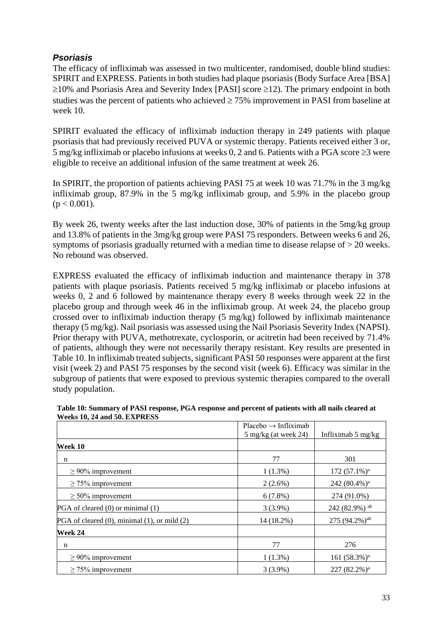# *Psoriasis*

The efficacy of infliximab was assessed in two multicenter, randomised, double blind studies: SPIRIT and EXPRESS. Patients in both studies had plaque psoriasis (Body Surface Area [BSA] ≥10% and Psoriasis Area and Severity Index [PASI] score ≥12). The primary endpoint in both studies was the percent of patients who achieved  $\geq$  75% improvement in PASI from baseline at week 10.

SPIRIT evaluated the efficacy of infliximab induction therapy in 249 patients with plaque psoriasis that had previously received PUVA or systemic therapy. Patients received either 3 or, 5 mg/kg infliximab or placebo infusions at weeks 0, 2 and 6. Patients with a PGA score ≥3 were eligible to receive an additional infusion of the same treatment at week 26.

In SPIRIT, the proportion of patients achieving PASI 75 at week 10 was 71.7% in the 3 mg/kg infliximab group, 87.9% in the 5 mg/kg infliximab group, and 5.9% in the placebo group  $(p < 0.001)$ .

By week 26, twenty weeks after the last induction dose, 30% of patients in the 5mg/kg group and 13.8% of patients in the 3mg/kg group were PASI 75 responders. Between weeks 6 and 26, symptoms of psoriasis gradually returned with a median time to disease relapse of > 20 weeks. No rebound was observed.

EXPRESS evaluated the efficacy of infliximab induction and maintenance therapy in 378 patients with plaque psoriasis. Patients received 5 mg/kg infliximab or placebo infusions at weeks 0, 2 and 6 followed by maintenance therapy every 8 weeks through week 22 in the placebo group and through week 46 in the infliximab group. At week 24, the placebo group crossed over to infliximab induction therapy (5 mg/kg) followed by infliximab maintenance therapy (5 mg/kg). Nail psoriasis was assessed using the Nail Psoriasis Severity Index (NAPSI). Prior therapy with PUVA, methotrexate, cyclosporin, or acitretin had been received by 71.4% of patients, although they were not necessarily therapy resistant. Key results are presented in Table 10. In infliximab treated subjects, significant PASI 50 responses were apparent at the first visit (week 2) and PASI 75 responses by the second visit (week 6). Efficacy was similar in the subgroup of patients that were exposed to previous systemic therapies compared to the overall study population.

|                                              | $Placebo \rightarrow Infliximab$ |                             |
|----------------------------------------------|----------------------------------|-----------------------------|
|                                              | $5 \text{ mg/kg}$ (at week 24)   | Infliximab 5 mg/kg          |
| Week 10                                      |                                  |                             |
| n                                            | 77                               | 301                         |
| $\geq$ 90% improvement                       | $1(1.3\%)$                       | 172 $(57.1\%)$ <sup>a</sup> |
| $\geq$ 75% improvement                       | $2(2.6\%)$                       | 242 (80.4%) <sup>a</sup>    |
| $\geq 50\%$ improvement                      | 6(7.8%)                          | 274 (91.0%)                 |
| PGA of cleared (0) or minimal (1)            | $3(3.9\%)$                       | 242 (82.9%) ab              |
| PGA of cleared (0), minimal (1), or mild (2) | 14 (18.2%)                       | $275(94.2\%)$ <sup>ab</sup> |
| Week 24                                      |                                  |                             |
| n                                            | 77                               | 276                         |
| $\geq$ 90% improvement                       | $1(1.3\%)$                       | 161 (58.3%) <sup>a</sup>    |
| $\geq$ 75% improvement                       | $3(3.9\%)$                       | $227 (82.2\%)^a$            |

#### **Table 10: Summary of PASI response, PGA response and percent of patients with all nails cleared at Weeks 10, 24 and 50. EXPRESS**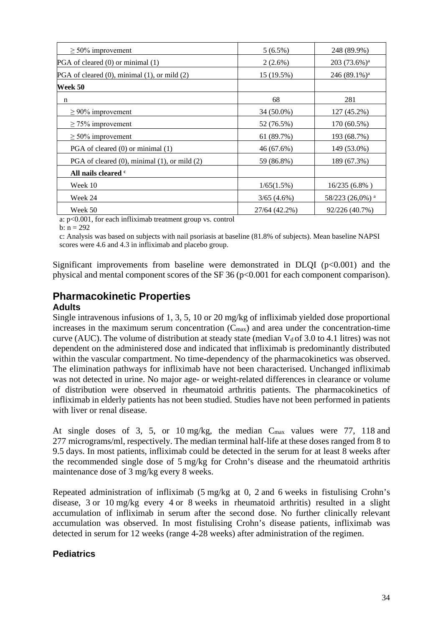| $\geq 50\%$ improvement                              | $5(6.5\%)$    | 248 (89.9%)                 |  |
|------------------------------------------------------|---------------|-----------------------------|--|
| PGA of cleared (0) or minimal (1)                    | $2(2.6\%)$    | $203(73.6\%)^a$             |  |
| PGA of cleared (0), minimal (1), or mild (2)         | 15 (19.5%)    | $246 (89.1\%)$ <sup>a</sup> |  |
| Week 50                                              |               |                             |  |
| n                                                    | 68            | 281                         |  |
| $\geq$ 90% improvement                               | 34 (50.0%)    | 127 (45.2%)                 |  |
| $\geq$ 75% improvement                               | 52 (76.5%)    | 170 (60.5%)                 |  |
| $\geq 50\%$ improvement                              | 61 (89.7%)    | 193 (68.7%)                 |  |
| PGA of cleared (0) or minimal (1)                    | 46 (67.6%)    | 149 (53.0%)                 |  |
| PGA of cleared $(0)$ , minimal $(1)$ , or mild $(2)$ | 59 (86.8%)    | 189 (67.3%)                 |  |
| All nails cleared c                                  |               |                             |  |
| Week 10                                              | 1/65(1.5%)    | 16/235 (6.8%)               |  |
| Week 24                                              | 3/65(4.6%)    | 58/223 (26,0%) <sup>a</sup> |  |
| Week 50                                              | 27/64 (42.2%) | 92/226 (40.7%)              |  |

a: p<0.001, for each infliximab treatment group vs. control

b:  $n = 292$ 

c: Analysis was based on subjects with nail psoriasis at baseline (81.8% of subjects). Mean baseline NAPSI scores were 4.6 and 4.3 in infliximab and placebo group.

Significant improvements from baseline were demonstrated in DLQI  $(p<0.001)$  and the physical and mental component scores of the SF  $36$  (p $<0.001$  for each component comparison).

#### **Pharmacokinetic Properties Adults**

Single intravenous infusions of 1, 3, 5, 10 or 20 mg/kg of infliximab yielded dose proportional increases in the maximum serum concentration  $(C_{\text{max}})$  and area under the concentration-time curve (AUC). The volume of distribution at steady state (median  $V_d$  of 3.0 to 4.1 litres) was not dependent on the administered dose and indicated that infliximab is predominantly distributed within the vascular compartment. No time-dependency of the pharmacokinetics was observed. The elimination pathways for infliximab have not been characterised. Unchanged infliximab was not detected in urine. No major age- or weight-related differences in clearance or volume of distribution were observed in rheumatoid arthritis patients. The pharmacokinetics of infliximab in elderly patients has not been studied. Studies have not been performed in patients with liver or renal disease.

#### At single doses of 3, 5, or 10 mg/kg, the median Cmax values were 77, 118 and 277 micrograms/ml, respectively. The median terminal half-life at these doses ranged from 8 to 9.5 days. In most patients, infliximab could be detected in the serum for at least 8 weeks after the recommended single dose of 5 mg/kg for Crohn's disease and the rheumatoid arthritis maintenance dose of 3 mg/kg every 8 weeks.

Repeated administration of infliximab (5 mg/kg at 0, 2 and 6 weeks in fistulising Crohn's disease, 3 or 10 mg/kg every 4 or 8 weeks in rheumatoid arthritis) resulted in a slight accumulation of infliximab in serum after the second dose. No further clinically relevant accumulation was observed. In most fistulising Crohn's disease patients, infliximab was detected in serum for 12 weeks (range 4-28 weeks) after administration of the regimen.

# **Pediatrics**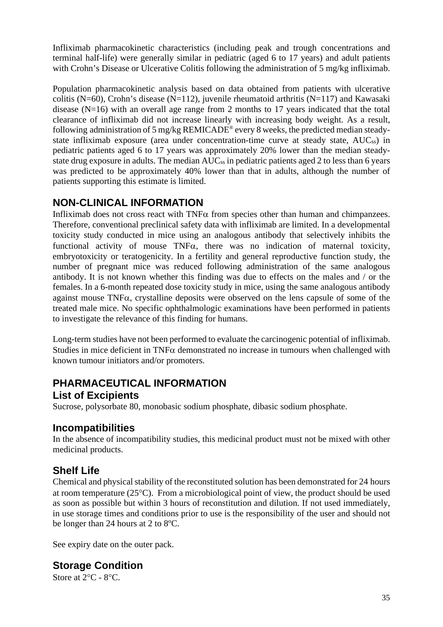Infliximab pharmacokinetic characteristics (including peak and trough concentrations and terminal half-life) were generally similar in pediatric (aged 6 to 17 years) and adult patients with Crohn's Disease or Ulcerative Colitis following the administration of 5 mg/kg infliximab.

Population pharmacokinetic analysis based on data obtained from patients with ulcerative colitis (N=60), Crohn's disease (N=112), juvenile rheumatoid arthritis (N=117) and Kawasaki disease (N=16) with an overall age range from 2 months to 17 years indicated that the total clearance of infliximab did not increase linearly with increasing body weight. As a result, following administration of 5 mg/kg REMICADE® every 8 weeks, the predicted median steadystate infliximab exposure (area under concentration-time curve at steady state, AUCss) in pediatric patients aged 6 to 17 years was approximately 20% lower than the median steadystate drug exposure in adults. The median AUC<sub>ss</sub> in pediatric patients aged 2 to less than 6 years was predicted to be approximately 40% lower than that in adults, although the number of patients supporting this estimate is limited.

# **NON-CLINICAL INFORMATION**

Infliximab does not cross react with TNFα from species other than human and chimpanzees. Therefore, conventional preclinical safety data with infliximab are limited. In a developmental toxicity study conducted in mice using an analogous antibody that selectively inhibits the functional activity of mouse TNFα, there was no indication of maternal toxicity, embryotoxicity or teratogenicity. In a fertility and general reproductive function study, the number of pregnant mice was reduced following administration of the same analogous antibody. It is not known whether this finding was due to effects on the males and / or the females. In a 6-month repeated dose toxicity study in mice, using the same analogous antibody against mouse TNFα, crystalline deposits were observed on the lens capsule of some of the treated male mice. No specific ophthalmologic examinations have been performed in patients to investigate the relevance of this finding for humans.

Long-term studies have not been performed to evaluate the carcinogenic potential of infliximab. Studies in mice deficient in TNF $\alpha$  demonstrated no increase in tumours when challenged with known tumour initiators and/or promoters.

# **PHARMACEUTICAL INFORMATION List of Excipients**

Sucrose, polysorbate 80, monobasic sodium phosphate, dibasic sodium phosphate.

# **Incompatibilities**

In the absence of incompatibility studies, this medicinal product must not be mixed with other medicinal products.

# **Shelf Life**

Chemical and physical stability of the reconstituted solution has been demonstrated for 24 hours at room temperature (25°C). From a microbiological point of view, the product should be used as soon as possible but within 3 hours of reconstitution and dilution. If not used immediately, in use storage times and conditions prior to use is the responsibility of the user and should not be longer than 24 hours at 2 to 8°C.

See expiry date on the outer pack.

# **Storage Condition**

Store at 2°C - 8°C.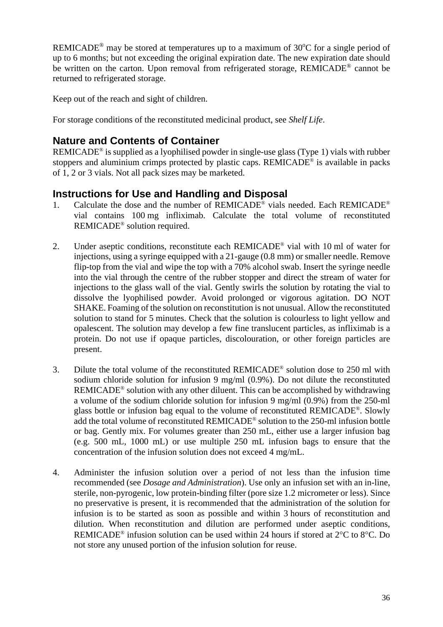REMICADE<sup>®</sup> may be stored at temperatures up to a maximum of  $30^{\circ}$ C for a single period of up to 6 months; but not exceeding the original expiration date. The new expiration date should be written on the carton. Upon removal from refrigerated storage, REMICADE® cannot be returned to refrigerated storage.

Keep out of the reach and sight of children.

For storage conditions of the reconstituted medicinal product, see *Shelf Life*.

# **Nature and Contents of Container**

REMICADE® is supplied as a lyophilised powder in single-use glass (Type 1) vials with rubber stoppers and aluminium crimps protected by plastic caps. REMICADE® is available in packs of 1, 2 or 3 vials. Not all pack sizes may be marketed.

# **Instructions for Use and Handling and Disposal**

- 1. Calculate the dose and the number of REMICADE<sup>®</sup> vials needed. Each REMICADE<sup>®</sup> vial contains 100 mg infliximab. Calculate the total volume of reconstituted REMICADE® solution required.
- 2. Under aseptic conditions, reconstitute each REMICADE<sup>®</sup> vial with 10 ml of water for injections, using a syringe equipped with a 21-gauge (0.8 mm) or smaller needle. Remove flip-top from the vial and wipe the top with a 70% alcohol swab. Insert the syringe needle into the vial through the centre of the rubber stopper and direct the stream of water for injections to the glass wall of the vial. Gently swirls the solution by rotating the vial to dissolve the lyophilised powder. Avoid prolonged or vigorous agitation. DO NOT SHAKE. Foaming of the solution on reconstitution is not unusual. Allow the reconstituted solution to stand for 5 minutes. Check that the solution is colourless to light yellow and opalescent. The solution may develop a few fine translucent particles, as infliximab is a protein. Do not use if opaque particles, discolouration, or other foreign particles are present.
- 3. Dilute the total volume of the reconstituted REMICADE® solution dose to 250 ml with sodium chloride solution for infusion 9 mg/ml (0.9%). Do not dilute the reconstituted REMICADE® solution with any other diluent. This can be accomplished by withdrawing a volume of the sodium chloride solution for infusion 9 mg/ml (0.9%) from the 250-ml glass bottle or infusion bag equal to the volume of reconstituted REMICADE®. Slowly add the total volume of reconstituted REMICADE® solution to the 250-ml infusion bottle or bag. Gently mix. For volumes greater than 250 mL, either use a larger infusion bag (e.g. 500 mL, 1000 mL) or use multiple 250 mL infusion bags to ensure that the concentration of the infusion solution does not exceed 4 mg/mL.
- 4. Administer the infusion solution over a period of not less than the infusion time recommended (see *Dosage and Administration*). Use only an infusion set with an in-line, sterile, non-pyrogenic, low protein-binding filter (pore size 1.2 micrometer or less). Since no preservative is present, it is recommended that the administration of the solution for infusion is to be started as soon as possible and within 3 hours of reconstitution and dilution. When reconstitution and dilution are performed under aseptic conditions, REMICADE® infusion solution can be used within 24 hours if stored at 2°C to 8°C. Do not store any unused portion of the infusion solution for reuse.